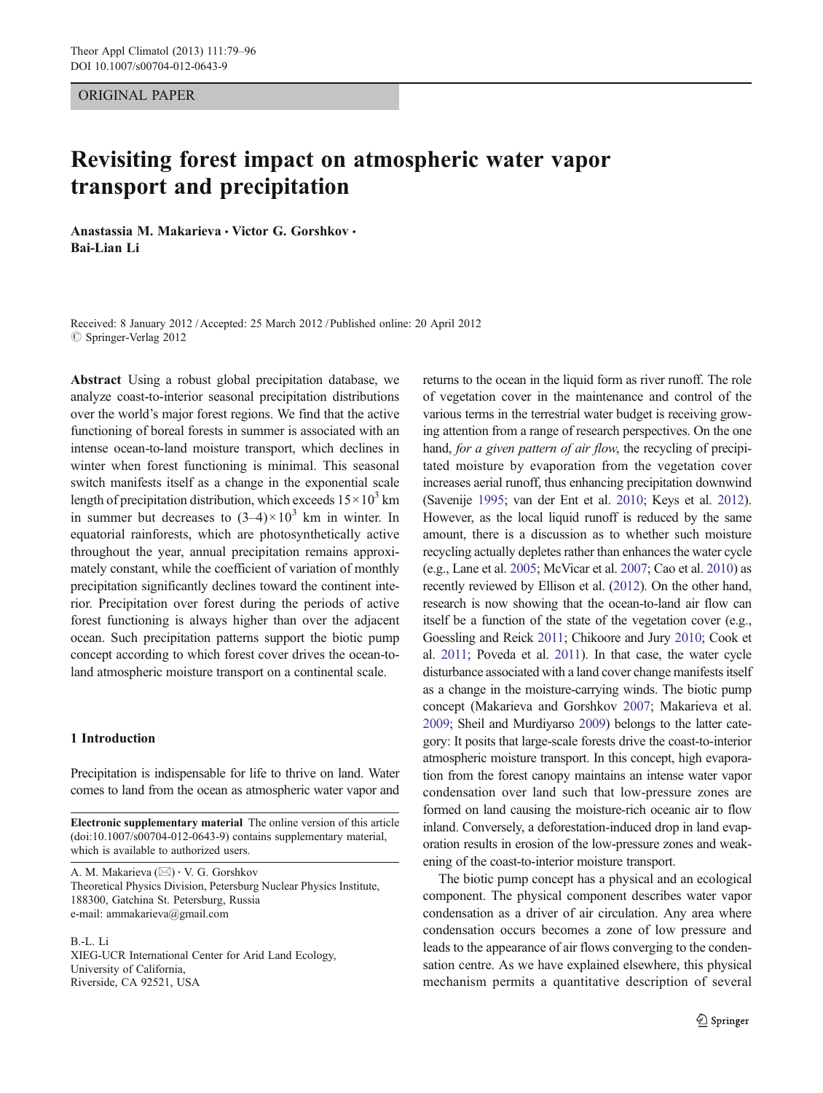## ORIGINAL PAPER

# Revisiting forest impact on atmospheric water vapor transport and precipitation

Anastassia M. Makarieva · Victor G. Gorshkov · Bai-Lian Li

Received: 8 January 2012 /Accepted: 25 March 2012 / Published online: 20 April 2012  $\circ$  Springer-Verlag 2012

Abstract Using a robust global precipitation database, we analyze coast-to-interior seasonal precipitation distributions over the world's major forest regions. We find that the active functioning of boreal forests in summer is associated with an intense ocean-to-land moisture transport, which declines in winter when forest functioning is minimal. This seasonal switch manifests itself as a change in the exponential scale length of precipitation distribution, which exceeds  $15 \times 10^3$  km in summer but decreases to  $(3-4) \times 10^3$  km in winter. In equatorial rainforests, which are photosynthetically active throughout the year, annual precipitation remains approximately constant, while the coefficient of variation of monthly precipitation significantly declines toward the continent interior. Precipitation over forest during the periods of active forest functioning is always higher than over the adjacent ocean. Such precipitation patterns support the biotic pump concept according to which forest cover drives the ocean-toland atmospheric moisture transport on a continental scale.

# 1 Introduction

Precipitation is indispensable for life to thrive on land. Water comes to land from the ocean as atmospheric water vapor and

Electronic supplementary material The online version of this article (doi:[10.1007/s00704-012-0643-9](http://dx.doi.org/10.1007/s00704-012-0643-9)) contains supplementary material, which is available to authorized users.

A. M. Makarieva (⊠) · V. G. Gorshkov Theoretical Physics Division, Petersburg Nuclear Physics Institute, 188300, Gatchina St. Petersburg, Russia e-mail: ammakarieva@gmail.com

B.-L. Li XIEG-UCR International Center for Arid Land Ecology, University of California, Riverside, CA 92521, USA

returns to the ocean in the liquid form as river runoff. The role of vegetation cover in the maintenance and control of the various terms in the terrestrial water budget is receiving growing attention from a range of research perspectives. On the one hand, for a given pattern of air flow, the recycling of precipitated moisture by evaporation from the vegetation cover increases aerial runoff, thus enhancing precipitation downwind (Savenije [1995;](#page-17-0) van der Ent et al. [2010;](#page-17-0) Keys et al. [2012\)](#page-16-0). However, as the local liquid runoff is reduced by the same amount, there is a discussion as to whether such moisture recycling actually depletes rather than enhances the water cycle (e.g., Lane et al. [2005](#page-16-0); McVicar et al. [2007;](#page-16-0) Cao et al. [2010\)](#page-15-0) as recently reviewed by Ellison et al. [\(2012](#page-16-0)). On the other hand, research is now showing that the ocean-to-land air flow can itself be a function of the state of the vegetation cover (e.g., Goessling and Reick [2011](#page-16-0); Chikoore and Jury [2010;](#page-15-0) Cook et al. [2011](#page-15-0); Poveda et al. [2011\)](#page-17-0). In that case, the water cycle disturbance associated with a land cover change manifests itself as a change in the moisture-carrying winds. The biotic pump concept (Makarieva and Gorshkov [2007;](#page-16-0) Makarieva et al. [2009](#page-16-0); Sheil and Murdiyarso [2009](#page-17-0)) belongs to the latter category: It posits that large-scale forests drive the coast-to-interior atmospheric moisture transport. In this concept, high evaporation from the forest canopy maintains an intense water vapor condensation over land such that low-pressure zones are formed on land causing the moisture-rich oceanic air to flow inland. Conversely, a deforestation-induced drop in land evaporation results in erosion of the low-pressure zones and weakening of the coast-to-interior moisture transport.

The biotic pump concept has a physical and an ecological component. The physical component describes water vapor condensation as a driver of air circulation. Any area where condensation occurs becomes a zone of low pressure and leads to the appearance of air flows converging to the condensation centre. As we have explained elsewhere, this physical mechanism permits a quantitative description of several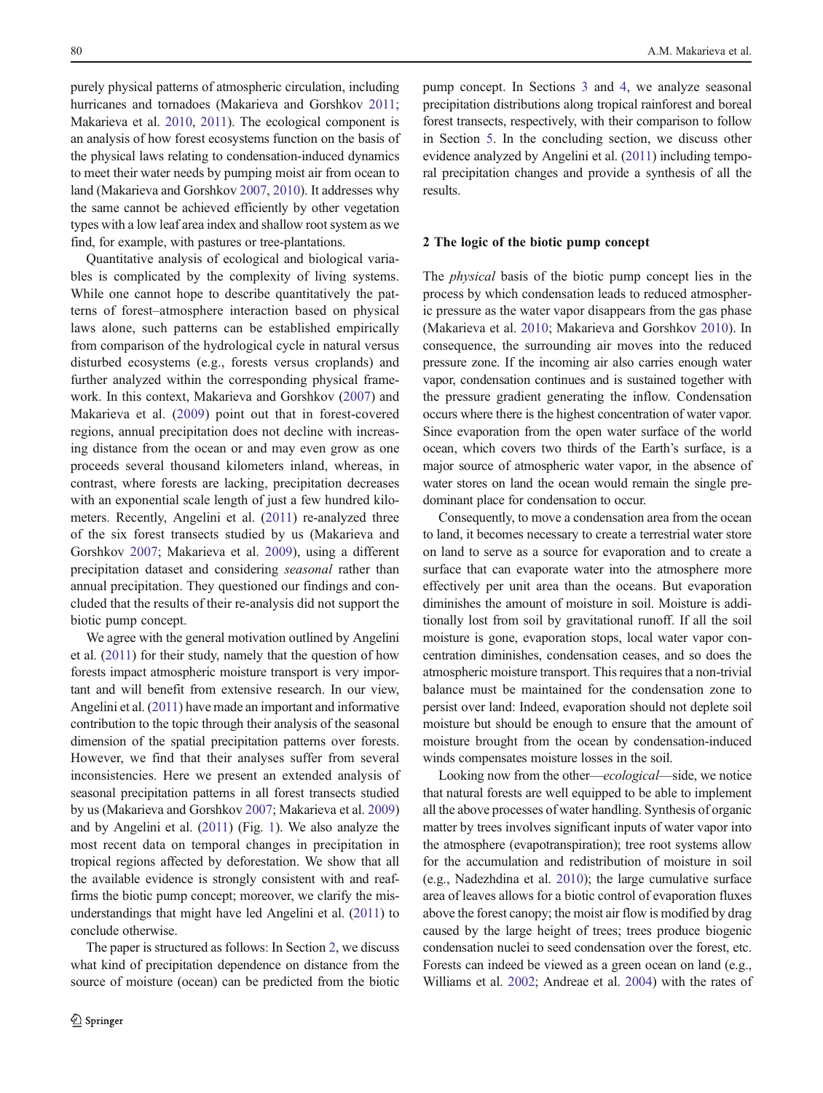<span id="page-1-0"></span>purely physical patterns of atmospheric circulation, including hurricanes and tornadoes (Makarieva and Gorshkov [2011](#page-16-0); Makarieva et al. [2010](#page-16-0), [2011\)](#page-16-0). The ecological component is an analysis of how forest ecosystems function on the basis of the physical laws relating to condensation-induced dynamics to meet their water needs by pumping moist air from ocean to land (Makarieva and Gorshkov [2007](#page-16-0), [2010](#page-16-0)). It addresses why the same cannot be achieved efficiently by other vegetation types with a low leaf area index and shallow root system as we find, for example, with pastures or tree-plantations.

Quantitative analysis of ecological and biological variables is complicated by the complexity of living systems. While one cannot hope to describe quantitatively the patterns of forest–atmosphere interaction based on physical laws alone, such patterns can be established empirically from comparison of the hydrological cycle in natural versus disturbed ecosystems (e.g., forests versus croplands) and further analyzed within the corresponding physical framework. In this context, Makarieva and Gorshkov ([2007](#page-16-0)) and Makarieva et al. ([2009](#page-16-0)) point out that in forest-covered regions, annual precipitation does not decline with increasing distance from the ocean or and may even grow as one proceeds several thousand kilometers inland, whereas, in contrast, where forests are lacking, precipitation decreases with an exponential scale length of just a few hundred kilometers. Recently, Angelini et al. [\(2011\)](#page-15-0) re-analyzed three of the six forest transects studied by us (Makarieva and Gorshkov [2007](#page-16-0); Makarieva et al. [2009\)](#page-16-0), using a different precipitation dataset and considering seasonal rather than annual precipitation. They questioned our findings and concluded that the results of their re-analysis did not support the biotic pump concept.

We agree with the general motivation outlined by Angelini et al. [\(2011](#page-15-0)) for their study, namely that the question of how forests impact atmospheric moisture transport is very important and will benefit from extensive research. In our view, Angelini et al. [\(2011](#page-15-0)) have made an important and informative contribution to the topic through their analysis of the seasonal dimension of the spatial precipitation patterns over forests. However, we find that their analyses suffer from several inconsistencies. Here we present an extended analysis of seasonal precipitation patterns in all forest transects studied by us (Makarieva and Gorshkov [2007](#page-16-0); Makarieva et al. [2009\)](#page-16-0) and by Angelini et al. [\(2011\)](#page-15-0) (Fig. [1](#page-2-0)). We also analyze the most recent data on temporal changes in precipitation in tropical regions affected by deforestation. We show that all the available evidence is strongly consistent with and reaffirms the biotic pump concept; moreover, we clarify the misunderstandings that might have led Angelini et al. [\(2011](#page-15-0)) to conclude otherwise.

The paper is structured as follows: In Section 2, we discuss what kind of precipitation dependence on distance from the source of moisture (ocean) can be predicted from the biotic pump concept. In Sections [3](#page-3-0) and [4,](#page-8-0) we analyze seasonal precipitation distributions along tropical rainforest and boreal forest transects, respectively, with their comparison to follow in Section [5.](#page-10-0) In the concluding section, we discuss other evidence analyzed by Angelini et al. ([2011](#page-15-0)) including temporal precipitation changes and provide a synthesis of all the results.

### 2 The logic of the biotic pump concept

The physical basis of the biotic pump concept lies in the process by which condensation leads to reduced atmospheric pressure as the water vapor disappears from the gas phase (Makarieva et al. [2010](#page-16-0); Makarieva and Gorshkov [2010](#page-16-0)). In consequence, the surrounding air moves into the reduced pressure zone. If the incoming air also carries enough water vapor, condensation continues and is sustained together with the pressure gradient generating the inflow. Condensation occurs where there is the highest concentration of water vapor. Since evaporation from the open water surface of the world ocean, which covers two thirds of the Earth's surface, is a major source of atmospheric water vapor, in the absence of water stores on land the ocean would remain the single predominant place for condensation to occur.

Consequently, to move a condensation area from the ocean to land, it becomes necessary to create a terrestrial water store on land to serve as a source for evaporation and to create a surface that can evaporate water into the atmosphere more effectively per unit area than the oceans. But evaporation diminishes the amount of moisture in soil. Moisture is additionally lost from soil by gravitational runoff. If all the soil moisture is gone, evaporation stops, local water vapor concentration diminishes, condensation ceases, and so does the atmospheric moisture transport. This requires that a non-trivial balance must be maintained for the condensation zone to persist over land: Indeed, evaporation should not deplete soil moisture but should be enough to ensure that the amount of moisture brought from the ocean by condensation-induced winds compensates moisture losses in the soil.

Looking now from the other—ecological—side, we notice that natural forests are well equipped to be able to implement all the above processes of water handling. Synthesis of organic matter by trees involves significant inputs of water vapor into the atmosphere (evapotranspiration); tree root systems allow for the accumulation and redistribution of moisture in soil (e.g., Nadezhdina et al. [2010](#page-16-0)); the large cumulative surface area of leaves allows for a biotic control of evaporation fluxes above the forest canopy; the moist air flow is modified by drag caused by the large height of trees; trees produce biogenic condensation nuclei to seed condensation over the forest, etc. Forests can indeed be viewed as a green ocean on land (e.g., Williams et al. [2002](#page-17-0); Andreae et al. [2004](#page-15-0)) with the rates of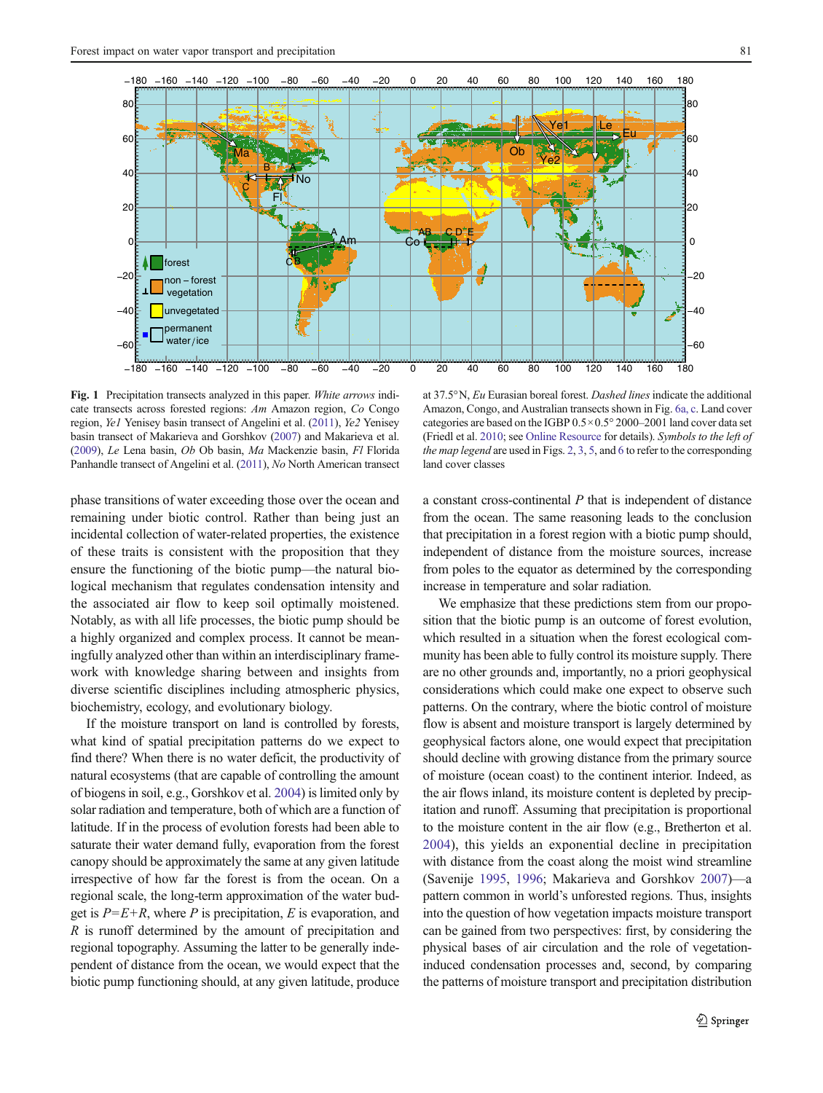<span id="page-2-0"></span>

Fig. 1 Precipitation transects analyzed in this paper. White arrows indicate transects across forested regions: Am Amazon region, Co Congo region, Ye1 Yenisey basin transect of Angelini et al. [\(2011](#page-15-0)), Ye2 Yenisey basin transect of Makarieva and Gorshkov [\(2007](#page-16-0)) and Makarieva et al. ([2009](#page-16-0)), Le Lena basin, Ob Ob basin, Ma Mackenzie basin, Fl Florida Panhandle transect of Angelini et al. [\(2011](#page-15-0)), No North American transect

phase transitions of water exceeding those over the ocean and remaining under biotic control. Rather than being just an incidental collection of water-related properties, the existence of these traits is consistent with the proposition that they ensure the functioning of the biotic pump—the natural biological mechanism that regulates condensation intensity and the associated air flow to keep soil optimally moistened. Notably, as with all life processes, the biotic pump should be a highly organized and complex process. It cannot be meaningfully analyzed other than within an interdisciplinary framework with knowledge sharing between and insights from diverse scientific disciplines including atmospheric physics, biochemistry, ecology, and evolutionary biology.

If the moisture transport on land is controlled by forests, what kind of spatial precipitation patterns do we expect to find there? When there is no water deficit, the productivity of natural ecosystems (that are capable of controlling the amount of biogens in soil, e.g., Gorshkov et al. [2004\)](#page-16-0) is limited only by solar radiation and temperature, both of which are a function of latitude. If in the process of evolution forests had been able to saturate their water demand fully, evaporation from the forest canopy should be approximately the same at any given latitude irrespective of how far the forest is from the ocean. On a regional scale, the long-term approximation of the water budget is  $P=E+R$ , where P is precipitation, E is evaporation, and R is runoff determined by the amount of precipitation and regional topography. Assuming the latter to be generally independent of distance from the ocean, we would expect that the biotic pump functioning should, at any given latitude, produce

at 37.5°N, Eu Eurasian boreal forest. Dashed lines indicate the additional Amazon, Congo, and Australian transects shown in Fig. [6a, c.](#page-13-0) Land cover categories are based on the IGBP 0.5×0.5° 2000–2001 land cover data set (Friedl et al. [2010](#page-16-0); see Online Resource for details). Symbols to the left of the map legend are used in Figs. [2,](#page-4-0) [3,](#page-9-0) [5](#page-11-0), and [6](#page-13-0) to refer to the corresponding land cover classes

a constant cross-continental  $P$  that is independent of distance from the ocean. The same reasoning leads to the conclusion that precipitation in a forest region with a biotic pump should, independent of distance from the moisture sources, increase from poles to the equator as determined by the corresponding increase in temperature and solar radiation.

We emphasize that these predictions stem from our proposition that the biotic pump is an outcome of forest evolution, which resulted in a situation when the forest ecological community has been able to fully control its moisture supply. There are no other grounds and, importantly, no a priori geophysical considerations which could make one expect to observe such patterns. On the contrary, where the biotic control of moisture flow is absent and moisture transport is largely determined by geophysical factors alone, one would expect that precipitation should decline with growing distance from the primary source of moisture (ocean coast) to the continent interior. Indeed, as the air flows inland, its moisture content is depleted by precipitation and runoff. Assuming that precipitation is proportional to the moisture content in the air flow (e.g., Bretherton et al. [2004](#page-15-0)), this yields an exponential decline in precipitation with distance from the coast along the moist wind streamline (Savenije [1995,](#page-17-0) [1996](#page-17-0); Makarieva and Gorshkov [2007\)](#page-16-0)—a pattern common in world's unforested regions. Thus, insights into the question of how vegetation impacts moisture transport can be gained from two perspectives: first, by considering the physical bases of air circulation and the role of vegetationinduced condensation processes and, second, by comparing the patterns of moisture transport and precipitation distribution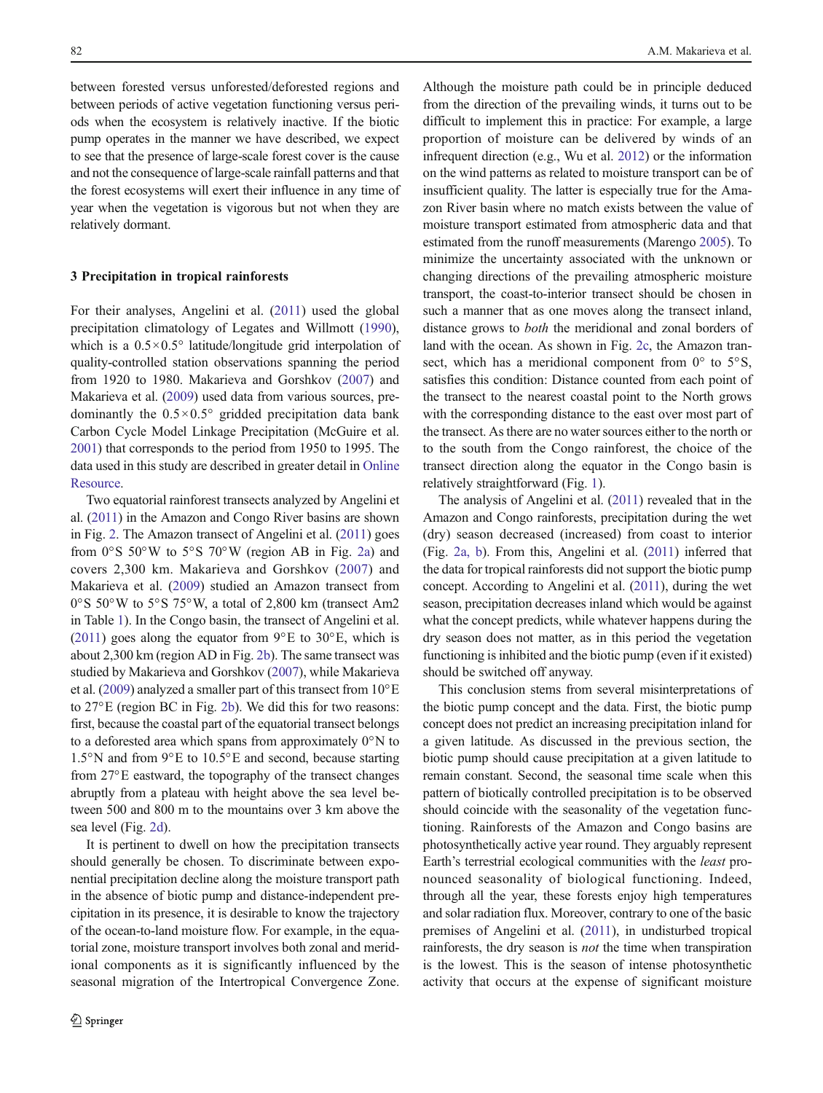<span id="page-3-0"></span>between forested versus unforested/deforested regions and between periods of active vegetation functioning versus periods when the ecosystem is relatively inactive. If the biotic pump operates in the manner we have described, we expect to see that the presence of large-scale forest cover is the cause and not the consequence of large-scale rainfall patterns and that the forest ecosystems will exert their influence in any time of year when the vegetation is vigorous but not when they are relatively dormant.

## 3 Precipitation in tropical rainforests

For their analyses, Angelini et al. ([2011](#page-15-0)) used the global precipitation climatology of Legates and Willmott ([1990](#page-16-0)), which is a  $0.5 \times 0.5^{\circ}$  latitude/longitude grid interpolation of quality-controlled station observations spanning the period from 1920 to 1980. Makarieva and Gorshkov ([2007](#page-16-0)) and Makarieva et al. ([2009](#page-16-0)) used data from various sources, predominantly the  $0.5 \times 0.5^{\circ}$  gridded precipitation data bank Carbon Cycle Model Linkage Precipitation (McGuire et al. [2001\)](#page-16-0) that corresponds to the period from 1950 to 1995. The data used in this study are described in greater detail in Online Resource.

Two equatorial rainforest transects analyzed by Angelini et al. [\(2011](#page-15-0)) in the Amazon and Congo River basins are shown in Fig. [2.](#page-4-0) The Amazon transect of Angelini et al. [\(2011](#page-15-0)) goes from  $0^{\circ}$ S 50°W to 5°S 70°W (region AB in Fig. [2a\)](#page-4-0) and covers 2,300 km. Makarieva and Gorshkov ([2007\)](#page-16-0) and Makarieva et al. [\(2009\)](#page-16-0) studied an Amazon transect from 0°S 50°W to 5°S 75°W, a total of 2,800 km (transect Am2 in Table [1\)](#page-5-0). In the Congo basin, the transect of Angelini et al. [\(2011](#page-15-0)) goes along the equator from  $9^{\circ}E$  to  $30^{\circ}E$ , which is about 2,300 km (region AD in Fig. [2b\)](#page-4-0). The same transect was studied by Makarieva and Gorshkov ([2007](#page-16-0)), while Makarieva et al. ([2009](#page-16-0)) analyzed a smaller part of this transect from 10°E to 27°E (region BC in Fig. [2b\)](#page-4-0). We did this for two reasons: first, because the coastal part of the equatorial transect belongs to a deforested area which spans from approximately 0°N to 1.5°N and from 9°E to 10.5°E and second, because starting from 27°E eastward, the topography of the transect changes abruptly from a plateau with height above the sea level between 500 and 800 m to the mountains over 3 km above the sea level (Fig. [2d](#page-4-0)).

It is pertinent to dwell on how the precipitation transects should generally be chosen. To discriminate between exponential precipitation decline along the moisture transport path in the absence of biotic pump and distance-independent precipitation in its presence, it is desirable to know the trajectory of the ocean-to-land moisture flow. For example, in the equatorial zone, moisture transport involves both zonal and meridional components as it is significantly influenced by the seasonal migration of the Intertropical Convergence Zone.

Although the moisture path could be in principle deduced from the direction of the prevailing winds, it turns out to be difficult to implement this in practice: For example, a large proportion of moisture can be delivered by winds of an infrequent direction (e.g., Wu et al. [2012\)](#page-17-0) or the information on the wind patterns as related to moisture transport can be of insufficient quality. The latter is especially true for the Amazon River basin where no match exists between the value of moisture transport estimated from atmospheric data and that estimated from the runoff measurements (Marengo [2005\)](#page-16-0). To minimize the uncertainty associated with the unknown or changing directions of the prevailing atmospheric moisture transport, the coast-to-interior transect should be chosen in such a manner that as one moves along the transect inland, distance grows to both the meridional and zonal borders of land with the ocean. As shown in Fig. [2c,](#page-4-0) the Amazon transect, which has a meridional component from  $0^{\circ}$  to  $5^{\circ}$ S, satisfies this condition: Distance counted from each point of the transect to the nearest coastal point to the North grows with the corresponding distance to the east over most part of the transect. As there are no water sources either to the north or to the south from the Congo rainforest, the choice of the transect direction along the equator in the Congo basin is relatively straightforward (Fig. [1\)](#page-2-0).

The analysis of Angelini et al. [\(2011\)](#page-15-0) revealed that in the Amazon and Congo rainforests, precipitation during the wet (dry) season decreased (increased) from coast to interior (Fig. [2a, b](#page-4-0)). From this, Angelini et al. [\(2011](#page-15-0)) inferred that the data for tropical rainforests did not support the biotic pump concept. According to Angelini et al. [\(2011](#page-15-0)), during the wet season, precipitation decreases inland which would be against what the concept predicts, while whatever happens during the dry season does not matter, as in this period the vegetation functioning is inhibited and the biotic pump (even if it existed) should be switched off anyway.

This conclusion stems from several misinterpretations of the biotic pump concept and the data. First, the biotic pump concept does not predict an increasing precipitation inland for a given latitude. As discussed in the previous section, the biotic pump should cause precipitation at a given latitude to remain constant. Second, the seasonal time scale when this pattern of biotically controlled precipitation is to be observed should coincide with the seasonality of the vegetation functioning. Rainforests of the Amazon and Congo basins are photosynthetically active year round. They arguably represent Earth's terrestrial ecological communities with the least pronounced seasonality of biological functioning. Indeed, through all the year, these forests enjoy high temperatures and solar radiation flux. Moreover, contrary to one of the basic premises of Angelini et al. [\(2011\)](#page-15-0), in undisturbed tropical rainforests, the dry season is not the time when transpiration is the lowest. This is the season of intense photosynthetic activity that occurs at the expense of significant moisture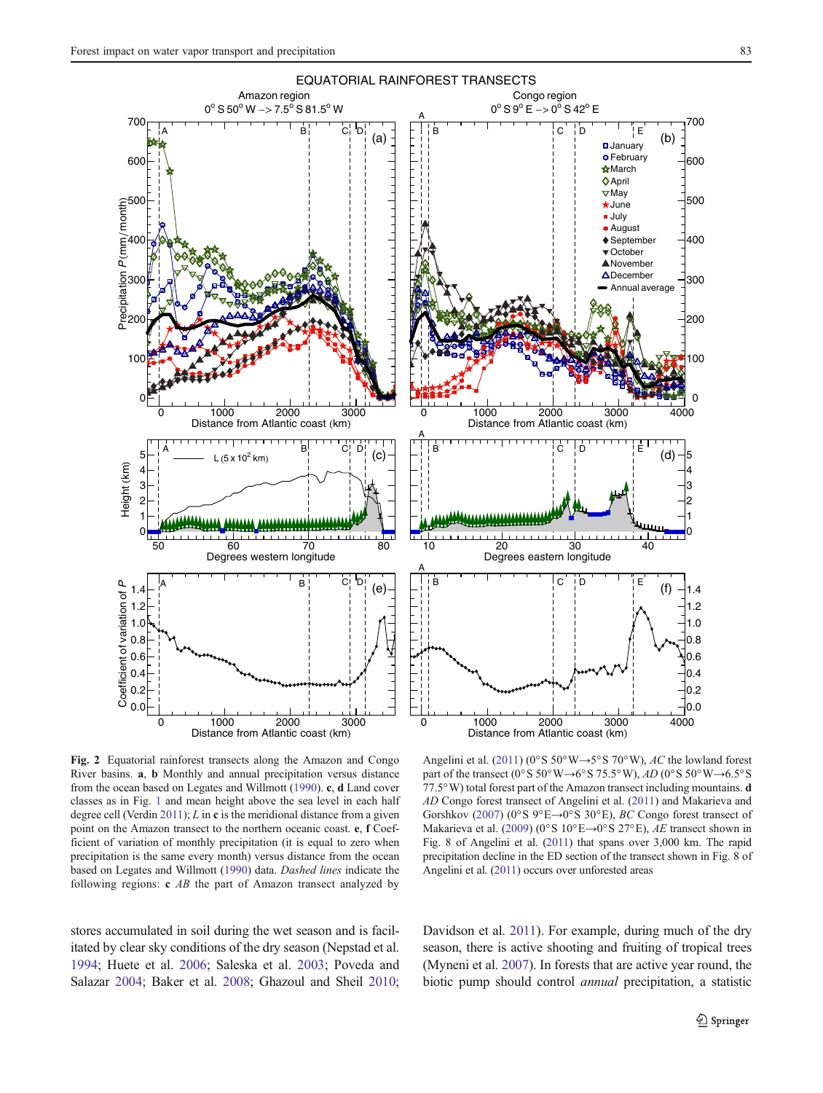<span id="page-4-0"></span>

Fig. 2 Equatorial rainforest transects along the Amazon and Congo River basins. a, b Monthly and annual precipitation versus distance from the ocean based on Legates and Willmott [\(1990](#page-16-0)). c, d Land cover classes as in Fig. [1](#page-2-0) and mean height above the sea level in each half degree cell (Verdin [2011\)](#page-17-0);  $L$  in  $c$  is the meridional distance from a given point on the Amazon transect to the northern oceanic coast. e, f Coefficient of variation of monthly precipitation (it is equal to zero when precipitation is the same every month) versus distance from the ocean based on Legates and Willmott [\(1990](#page-16-0)) data. Dashed lines indicate the following regions:  $c$  *AB* the part of Amazon transect analyzed by

Angelini et al. [\(2011\)](#page-15-0) (0° S 50° W  $\rightarrow$  5° S 70° W), AC the lowland forest part of the transect ( $0^{\circ}$ S 50°W $\rightarrow$ 6°S 75.5°W),  $AD$  ( $0^{\circ}$ S 50°W $\rightarrow$ 6.5°S 77.5°W) total forest part of the Amazon transect including mountains. d AD Congo forest transect of Angelini et al. [\(2011](#page-15-0)) and Makarieva and Gorshkov ([2007\)](#page-16-0) (0°S 9°E→0°S 30°E), BC Congo forest transect of Makarieva et al. ([2009\)](#page-16-0) (0°S 10°E→0°S 27°E), AE transect shown in Fig. 8 of Angelini et al. ([2011\)](#page-15-0) that spans over 3,000 km. The rapid precipitation decline in the ED section of the transect shown in Fig. 8 of Angelini et al. ([2011](#page-15-0)) occurs over unforested areas

stores accumulated in soil during the wet season and is facilitated by clear sky conditions of the dry season (Nepstad et al. [1994;](#page-16-0) Huete et al. [2006;](#page-16-0) Saleska et al. [2003;](#page-17-0) Poveda and Salazar [2004;](#page-17-0) Baker et al. [2008;](#page-15-0) Ghazoul and Sheil [2010](#page-16-0); Davidson et al. [2011](#page-16-0)). For example, during much of the dry season, there is active shooting and fruiting of tropical trees (Myneni et al. [2007\)](#page-16-0). In forests that are active year round, the biotic pump should control annual precipitation, a statistic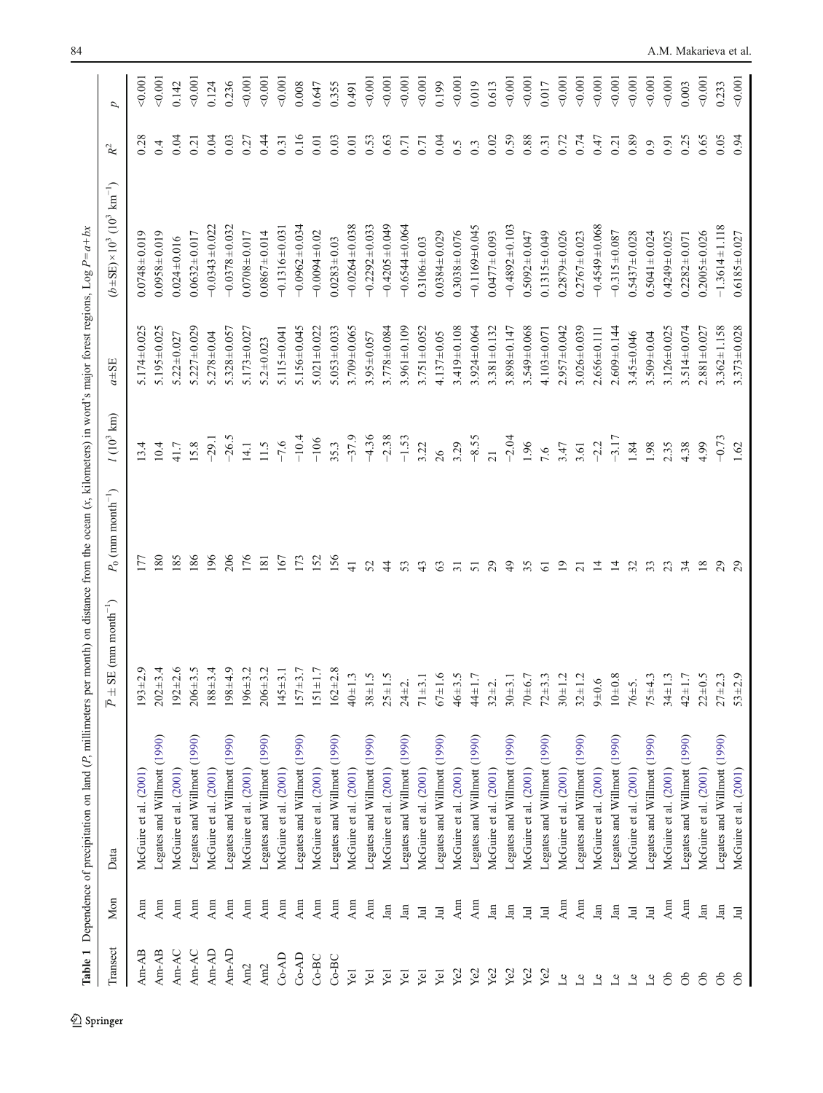<span id="page-5-0"></span>

|                    |                           | <b>Table 1</b> Dependence of precipitation on land $(P$ , millimeters per month) on distance from the ocean $(x, k$ ilometers) in word's major forest regions, Log $P=a+bx$ |                                                               |                                 |                 |                   |                                                                   |                  |                               |
|--------------------|---------------------------|-----------------------------------------------------------------------------------------------------------------------------------------------------------------------------|---------------------------------------------------------------|---------------------------------|-----------------|-------------------|-------------------------------------------------------------------|------------------|-------------------------------|
| Transect           | Mon                       | Data                                                                                                                                                                        | $\mbox{mm}$ month $^{-1})$<br>$\overline{P}$ $\pm$ SE $\cdot$ | $P_0$ (mm month <sup>-1</sup> ) | $I(10^3$ km)    | $a\pm SEE$        | $(b\pm$ SE) × 10 <sup>3</sup> (10 <sup>3</sup> km <sup>-1</sup> ) | $\mathbf{R}^2$   | $\overline{p}$                |
| Am-AB              | Ann                       | McGuire et al. (2001)                                                                                                                                                       | $193 \pm 2.9$                                                 | 177                             | 13.4            | $5.174 \pm 0.025$ | $0.0748 + 0.019$                                                  | 0.28             | 0.001                         |
| $Am-AB$            | Ann                       | Legates and Willmott (1990)                                                                                                                                                 | $202 + 3.4$                                                   | 180                             | 10.4            | $5.195 \pm 0.025$ | $0.0958 \pm 0.019$                                                | 0.4              | 0.001                         |
| Am-AC              | Ann                       | McGuire et al. (2001)                                                                                                                                                       | $192 \pm 2.6$                                                 | 185                             | 41.7            | $5.22 \pm 0.027$  | $0.024 \pm 0.016$                                                 | 0.04             | 0.142                         |
| Am-AC              | Ann                       | Legates and Willmott (1990)                                                                                                                                                 | $206 + 3.5$                                                   | 186                             | 15.8            | $5.227 \pm 0.029$ | $0.0632 \pm 0.017$                                                | 0.21             | 0.001                         |
| $Am-AD$            | Ann                       | McGuire et al. (2001)                                                                                                                                                       | $188 + 3.4$                                                   | 196                             | $-29.1$         | $5.278 + 0.04$    | $-0.0343 + 0.022$                                                 | 0.04             | 0.124                         |
| $Am-AD$            | Ann                       | Legates and Willmott (1990)                                                                                                                                                 | $198 + 4.9$                                                   | 206                             | $-26.5$         | $5.328 \pm 0.057$ | $-0.0378 + 0.032$                                                 | 0.03             | 0.236                         |
| $\Delta \text{m}2$ | Ann                       | McGuire et al. (2001)                                                                                                                                                       | $196 + 3.2$                                                   | 176                             | 14.1            | $5.173 \pm 0.027$ | $0.0708 \pm 0.017$                                                | 0.27             | 0.001                         |
| Am2                | Ann                       | Legates and Willmott (1990)                                                                                                                                                 | $206 + 3.2$                                                   | 181                             | 11.5            | $5.2 \pm 0.023$   | $0.0867 \pm 0.014$                                                | 0.44             | 0.001                         |
| $Co-AD$            | Ann                       | McGuire et al. (2001)                                                                                                                                                       | $145 \pm 3.1$                                                 | 167                             | $-7.6$          | $5.115 \pm 0.041$ | $-0.1316 + 0.031$                                                 | 0.31             | 0.001                         |
| $Co-AD$            | Ann                       | Legates and Willmott (1990)                                                                                                                                                 | $157 + 3.7$                                                   | 173                             | $-10.4$         | $5.156 \pm 0.045$ | $-0.0962 + 0.034$                                                 | 0.16             | 0.008                         |
| $Co-BC$            | Ann                       | McGuire et al. (2001)                                                                                                                                                       | $151 \pm 1.7$                                                 | 152                             | $-106$          | $5.021 \pm 0.022$ | $-0.0094 \pm 0.02$                                                | 0.01             | 0.647                         |
| $Co-BC$            | Ann                       | Legates and Willmott (1990)                                                                                                                                                 | $162 + 2.8$                                                   | 156                             | 35.3            | $5.053 \pm 0.033$ | $0.0283 \pm 0.03$                                                 | 0.03             | 0.355                         |
| Yel                | Ann                       | McGuire et al. (2001)                                                                                                                                                       | $40 + 1.3$                                                    | $\overline{4}$                  | $-37.9$         | $3.709 + 0.065$   | $-0.0264 + 0.038$                                                 | 0.01             | 0.491                         |
| Yel                | Ann                       | Legates and Willmott (1990)                                                                                                                                                 | $38 + 1.5$                                                    | 52                              | $-4.36$         | $3.95 \pm 0.057$  | $-0.2292 + 0.033$                                                 | 0.53             | 0.001                         |
| <b>Yel</b>         | Jan                       | McGuire et al. (2001)                                                                                                                                                       | $25 + 1.5$                                                    | $\ddot{4}$                      | $-2.38$         | $3.778 \pm 0.084$ | $-0.4205 + 0.049$                                                 | 0.63             | 0.001                         |
| <b>Yel</b>         | Jan                       | Legates and Willmott (1990)                                                                                                                                                 | $24 \pm 2$ .                                                  | 53                              | $-1.53$         | $3.961 \pm 0.109$ | $-0.6544 \pm 0.064$                                               | 0.71             | 0.001                         |
| Yel                | $\Xi$                     | McGuire et al. (2001)                                                                                                                                                       | $71 + 3.1$                                                    | 43                              | 3.22            | $3.751 \pm 0.052$ | $0.3106 + 0.03$                                                   | 0.71             | 0.001                         |
| Ye1                | $\Xi$                     | Legates and Willmott (1990)                                                                                                                                                 | $67 \pm 1.6$                                                  | 63                              | 26              | $4.137 + 0.05$    | $0.0384 + 0.029$                                                  | 0.04             | 0.199                         |
| Ye2                | Ann                       | McGuire et al. (2001)                                                                                                                                                       | $46 + 3.5$                                                    | $\overline{31}$                 | 3.29            | $3.419 + 0.108$   | $0.3038 + 0.076$                                                  | $\overline{0.5}$ | 0.001                         |
| Ye2                | Ann                       | Legates and Willmott (1990)                                                                                                                                                 | $44 + 1.7$                                                    | 51                              | $-8.55$         | $3.924 \pm 0.064$ | $-0.1169 \pm 0.045$                                               | 0.3              | 0.019                         |
| Ye2                | Jan                       | McGuire et al. (2001)                                                                                                                                                       | $32 \pm 2$ .                                                  | 29                              | $\overline{21}$ | $3.381 \pm 0.132$ | $0.0477 \pm 0.093$                                                | 0.02             | 0.613                         |
| Ye2                | Jan                       | Legates and Willmott (1990)                                                                                                                                                 | $30 + 3.1$                                                    | $\overline{49}$                 | $-2.04$         | $3.898 \pm 0.147$ | $-0.4892 + 0.103$                                                 | 0.59             | 0.001                         |
| Ye2                | $\overline{a}$            | McGuire et al. (2001)                                                                                                                                                       | $70 + 6.7$                                                    | 35                              | 1.96            | $3.549 \pm 0.068$ | $0.5092 \pm 0.047$                                                | 0.88             | 0.001                         |
| Ye2                | $\Xi$                     | Legates and Willmott (1990)                                                                                                                                                 | $72 + 3.3$                                                    | 61                              | 7.6             | $4.103 \pm 0.071$ | $0.1315 \pm 0.049$                                                | 0.31             | 0.017                         |
| $\mathbb{F}$       | Ann                       | McGuire et al. (2001)                                                                                                                                                       | $30 + 1.2$                                                    | $\overline{19}$                 | 3.47            | $2.957 + 0.042$   | $0.2879 \pm 0.026$                                                | 0.72             | 0.001                         |
| $\mathcal{L}$ e    | Ann                       | Legates and Willmott (1990)                                                                                                                                                 | $32 \pm 1.2$                                                  | $\overline{c}$                  | 3.61            | $3.026 \pm 0.039$ | $0.2767 + 0.023$                                                  | 0.74             | 0.001                         |
| $\Delta$           | Jan                       | McGuire et al. (2001)                                                                                                                                                       | $9 + 0.6$                                                     | $\overline{4}$                  | $-2.2$          | $2.656 \pm 0.111$ | $-0.4549 + 0.068$                                                 | 0.47             | 0.001                         |
| $\Box$             | Jan                       | Legates and Willmott (1990)                                                                                                                                                 | $10 + 0.8$                                                    | $\overline{4}$                  | $-3.17$         | $2.609 \pm 0.144$ | $-0.315 \pm 0.087$                                                | 0.21             | 0.001                         |
| Le                 | $\ensuremath{\mathbb{H}}$ | McGuire et al. (2001)                                                                                                                                                       | $76 \pm 5.$                                                   | 32                              | 1.84            | $3.45 \pm 0.046$  | $0.5437 + 0.028$                                                  | 0.89             | 0.001                         |
| Le                 | $\Xi$                     | Legates and Willmott (1990)                                                                                                                                                 | $75 + 4.3$                                                    | 33                              | 1.98            | $3.509 + 0.04$    | $0.5041 \pm 0.024$                                                | $_{0.9}$         | 0.001                         |
| $\delta$           | Ann                       | McGuire et al. (2001)                                                                                                                                                       | $34 \pm 1.3$                                                  | 23                              | 2.35            | $3.126 \pm 0.025$ | $0.4249 + 0.025$                                                  | 0.91             | 0.001                         |
| $\delta$           | Ann                       | Legates and Willmott (1990)                                                                                                                                                 | $42 + 1.7$                                                    | 34                              | 4.38            | $3.514 \pm 0.074$ | $0.2282 \pm 0.071$                                                | 0.25             | 0.003                         |
| $\delta$           | Jan                       | McGuire et al. (2001)                                                                                                                                                       | $22 + 0.5$                                                    | 18                              | 4.99            | $2.881 \pm 0.027$ | $0.2005 \pm 0.026$                                                | 0.65             | 0.001                         |
| $\delta$           | Jan                       | Legates and Willmott (1990)                                                                                                                                                 | $27 + 2.3$                                                    | 29                              | $-0.73$         | $3.362 \pm 1.158$ | $-1.3614 \pm 1.118$                                               | 0.05             | 0.233                         |
| රි                 | $\overline{a}$            | McGuire et al. (2001)                                                                                                                                                       | $53 + 2.9$                                                    | 29                              | 1.62            | $3.373 + 0.028$   | $0.6185 \pm 0.027$                                                | 0.94             | A.M. Makarieva et al<br>0.001 |

 $\underline{\textcircled{\tiny 2}}$  Springer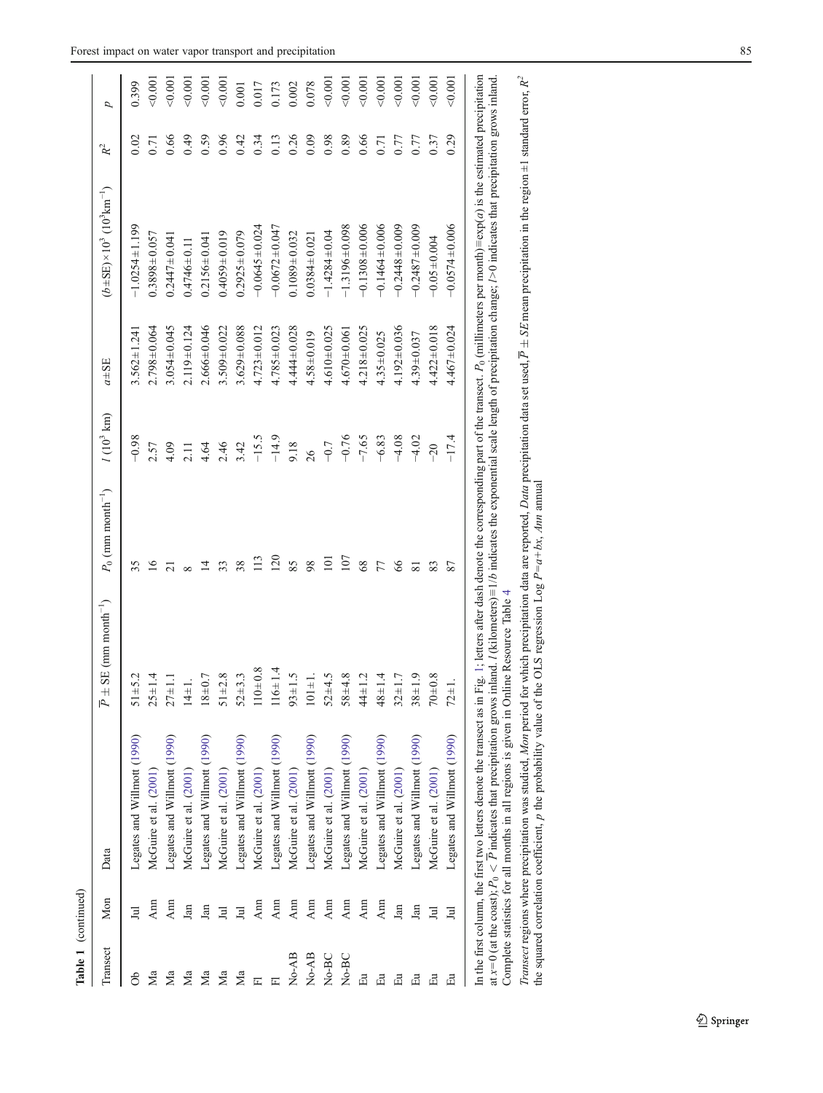| Transect    | Mon            | Data                                                                     | $SE$ (mm month <sup><math>^{-1}</math></sup> )<br>$\overline{P} \pm$ | $P_0$ (mm month <sup>-1</sup> ) | $(10^3 \text{ km})$ | $a\pm S E$        | $(b\pm S E) \times 10^3 (10^3 \text{km}^{-1})$                                                                                                  | $\mathcal{R}^2$ | p       |
|-------------|----------------|--------------------------------------------------------------------------|----------------------------------------------------------------------|---------------------------------|---------------------|-------------------|-------------------------------------------------------------------------------------------------------------------------------------------------|-----------------|---------|
| ðb          | $\overline{a}$ | Legates and Willmott (1990)                                              | $51 + 5.2$                                                           | 35                              | $-0.98$             | $3.562 \pm 1.241$ | $-1.0254 \pm 1.199$                                                                                                                             | 0.02            | 0.399   |
| Ma          | Ann            | McGuire et al. (2001)                                                    | $25 + 1.4$                                                           | $\overline{16}$                 | 2.57                | $2.798 + 0.064$   | $0.3898 \pm 0.057$                                                                                                                              | 0.71            | 0.001   |
| Уа          | Ann            | Legates and Willmott (1990)                                              | $27 \pm 1.1$                                                         | $\overline{c}$                  | 4.09                | $3.054 + 0.045$   | $0.2447 + 0.041$                                                                                                                                | 0.66            | 0.001   |
| گ           | Jan            | McGuire et al. (2001)                                                    | $14 \pm 1$ .                                                         |                                 | 2.11                | $2.119 \pm 0.124$ | $0.4746 \pm 0.11$                                                                                                                               | 0.49            | 0.001   |
| Уa          | Jan            | Legates and Willmott (1990)                                              | $18 + 0.7$                                                           |                                 | 4.64                | $2.666 \pm 0.046$ | $0.2156 \pm 0.04$                                                                                                                               | 0.59            | 0.001   |
| ۵A          | $\overline{a}$ | McGuire et al. (2001)                                                    | $51 + 2.8$                                                           | 33                              | 2.46                | $3.509 + 0.022$   | $0.4059 + 0.019$                                                                                                                                | 0.96            | 0.001   |
| Ма          | <b>Jul</b>     | Legates and Willmott (1990)                                              | $52 + 3.3$                                                           | 38                              | 3.42                | $3.629 \pm 0.088$ | $0.2925 \pm 0.079$                                                                                                                              | 0.42            | 0.001   |
|             | Ann            | McGuire et al. (2001)                                                    | $110 \pm 0.8$                                                        | $\frac{13}{2}$                  | $-15.5$             | $4.723 \pm 0.012$ | $-0.0645 \pm 0.024$                                                                                                                             | 0.34            | 0.017   |
|             | Ann            | Legates and Willmott (1990)                                              | $116 \pm 1.4$                                                        | 120                             | $-14.9$             | $4.785 \pm 0.023$ | $-0.0672 \pm 0.047$                                                                                                                             | 0.13            | 0.173   |
| $No-AB$     | Ann            | McGuire et al. (2001)                                                    | $93 \pm 1.5$                                                         | 85                              | 9.18                | 4.444±0.028       | $0.1089 + 0.032$                                                                                                                                | 0.26            | 0.002   |
| $No-AB$     | Ann            | Legates and Willmott (1990)                                              | $101 \pm 1$ .                                                        | 98                              | 26                  | $4.58 \pm 0.019$  | $0.0384 + 0.02$                                                                                                                                 | 0.09            | 0.078   |
| $No-BC$     | Ann            | McGuire et al. (2001)                                                    | $52 + 4.5$                                                           | $\Xi$                           | $-0.7$              | $4.610 \pm 0.025$ | $-1.4284 + 0.04$                                                                                                                                | 0.98            | 0.001   |
| $No-BC$     | Ann            | Legates and Willmott (1990)                                              | $58 + 4.8$                                                           | 107                             | $-0.76$             | $4.670 \pm 0.061$ | $-1.3196 \pm 0.098$                                                                                                                             | 0.89            | 0.001   |
| Eu          | Ann            | McGuire et al. (2001)                                                    | $44 + 1.2$                                                           | $\frac{8}{3}$                   | $-7.65$             | $4.218 \pm 0.025$ | $-0.1308 + 0.006$                                                                                                                               | 0.66            | 0.001   |
| Eu          | Ann            | Legates and Willmott (1990)                                              | $48 \pm 1.4$                                                         |                                 | $-6.83$             | $4.35 \pm 0.025$  | $-0.1464 + 0.006$                                                                                                                               | 0.71            | 0.001   |
| 旵           | Jan            | McGuire et al. (2001)                                                    | $32 \pm 1.7$                                                         | 66                              | $-4.08$             | $4.192 \pm 0.036$ | $-0.2448 + 0.009$                                                                                                                               | 0.77            | 0.001   |
| $E_{\rm H}$ | Jan            | Legates and Willmott (1990)                                              | $38 + 1.9$                                                           | $\overline{81}$                 | $-4.02$             | $4.39 \pm 0.037$  | $-0.2487 + 0.009$                                                                                                                               | 0.77            | 0.001   |
| Eu          | Jul            | McGuire et al. (2001)                                                    | $70 + 0.8$                                                           | 83                              | $-20$               | $4.422 \pm 0.018$ | $-0.05 + 0.004$                                                                                                                                 | 0.37            | 0.001   |
| Eu          | $\Xi$          | Legates and Willmott (1990)                                              | $72 \pm$                                                             | 87                              | $-17.4$             | $4.467 + 0.024$   | $-0.0574 + 0.006$                                                                                                                               | 0.29            | < 0.001 |
|             |                | In the first column, the first two letters denote the transect as in Fi- |                                                                      |                                 |                     |                   | is 1; letters after dash denote the corresponding part of the transect. $P_0$ (millimeters per month)= $\exp(a)$ is the estimated precipitation |                 |         |

Table 1 (continued)

Table 1 (continued)

at x=0 (at the coast);  $P_0 < \overline{P}$  indicates that precipitation grows inland. I (kilometers) = 1/b indicates the exponential scale length of precipitation change;  $l > 0$  indicates that precipitation grows inland. at x=0 (at the coast);  $P_0 < P$  indicates that precipitation grows inland. I (kilometers)≡1/b indicates the exponential scale length of precipitation change; l>0 indicates that precipitation grows inland. *Transect* regions where precipitation was studied, Mon period for which precipitation data are reported, Data precipitation data set used,  $\overline{P} \pm \overline{SE}$  mean precipitation in the region  $\pm 1$  standard error,  $\overline{R}^$ Complete statistics for all months in all regions is given in Online Resource Table 4 Complete statistics for all months in all regions is given in Online Resource Table 4

*Transect* regions where precipitation was studied, Mon period for which precipitation data are reported, *Data* precipitation data set used,  $\overline{P} \pm SE$  mean precipitation in the region  $\pm 1$  standard error,  $R^2$  the s the squared correlation coefficient, p the probability value of the OLS regression Log  $P=a+bx$ , Ann annual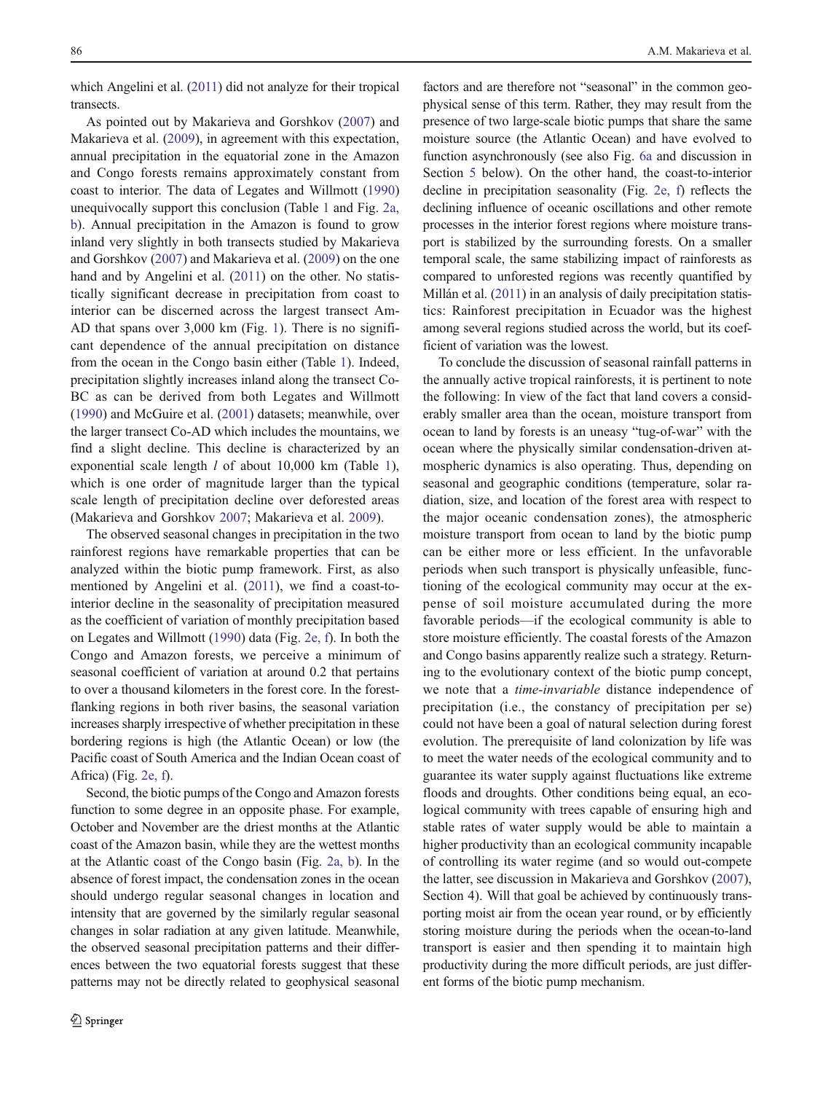which Angelini et al. ([2011\)](#page-15-0) did not analyze for their tropical transects.

As pointed out by Makarieva and Gorshkov [\(2007](#page-16-0)) and Makarieva et al. [\(2009](#page-16-0)), in agreement with this expectation, annual precipitation in the equatorial zone in the Amazon and Congo forests remains approximately constant from coast to interior. The data of Legates and Willmott ([1990\)](#page-16-0) unequivocally support this conclusion (Table [1](#page-5-0) and Fig. [2a,](#page-4-0) [b](#page-4-0)). Annual precipitation in the Amazon is found to grow inland very slightly in both transects studied by Makarieva and Gorshkov [\(2007](#page-16-0)) and Makarieva et al. ([2009\)](#page-16-0) on the one hand and by Angelini et al. [\(2011](#page-15-0)) on the other. No statistically significant decrease in precipitation from coast to interior can be discerned across the largest transect Am-AD that spans over 3,000 km (Fig. [1](#page-2-0)). There is no significant dependence of the annual precipitation on distance from the ocean in the Congo basin either (Table [1](#page-5-0)). Indeed, precipitation slightly increases inland along the transect Co-BC as can be derived from both Legates and Willmott [\(1990](#page-16-0)) and McGuire et al. ([2001\)](#page-16-0) datasets; meanwhile, over the larger transect Co-AD which includes the mountains, we find a slight decline. This decline is characterized by an exponential scale length  $l$  of about [1](#page-5-0)0,000 km (Table 1), which is one order of magnitude larger than the typical scale length of precipitation decline over deforested areas (Makarieva and Gorshkov [2007;](#page-16-0) Makarieva et al. [2009](#page-16-0)).

The observed seasonal changes in precipitation in the two rainforest regions have remarkable properties that can be analyzed within the biotic pump framework. First, as also mentioned by Angelini et al. ([2011](#page-15-0)), we find a coast-tointerior decline in the seasonality of precipitation measured as the coefficient of variation of monthly precipitation based on Legates and Willmott [\(1990](#page-16-0)) data (Fig. [2e, f](#page-4-0)). In both the Congo and Amazon forests, we perceive a minimum of seasonal coefficient of variation at around 0.2 that pertains to over a thousand kilometers in the forest core. In the forestflanking regions in both river basins, the seasonal variation increases sharply irrespective of whether precipitation in these bordering regions is high (the Atlantic Ocean) or low (the Pacific coast of South America and the Indian Ocean coast of Africa) (Fig. [2e, f\)](#page-4-0).

Second, the biotic pumps of the Congo and Amazon forests function to some degree in an opposite phase. For example, October and November are the driest months at the Atlantic coast of the Amazon basin, while they are the wettest months at the Atlantic coast of the Congo basin (Fig. [2a, b\)](#page-4-0). In the absence of forest impact, the condensation zones in the ocean should undergo regular seasonal changes in location and intensity that are governed by the similarly regular seasonal changes in solar radiation at any given latitude. Meanwhile, the observed seasonal precipitation patterns and their differences between the two equatorial forests suggest that these patterns may not be directly related to geophysical seasonal

factors and are therefore not "seasonal" in the common geophysical sense of this term. Rather, they may result from the presence of two large-scale biotic pumps that share the same moisture source (the Atlantic Ocean) and have evolved to function asynchronously (see also Fig. [6a](#page-13-0) and discussion in Section [5](#page-10-0) below). On the other hand, the coast-to-interior decline in precipitation seasonality (Fig. [2e, f](#page-4-0)) reflects the declining influence of oceanic oscillations and other remote processes in the interior forest regions where moisture transport is stabilized by the surrounding forests. On a smaller temporal scale, the same stabilizing impact of rainforests as compared to unforested regions was recently quantified by Millán et al. [\(2011\)](#page-16-0) in an analysis of daily precipitation statistics: Rainforest precipitation in Ecuador was the highest among several regions studied across the world, but its coefficient of variation was the lowest.

To conclude the discussion of seasonal rainfall patterns in the annually active tropical rainforests, it is pertinent to note the following: In view of the fact that land covers a considerably smaller area than the ocean, moisture transport from ocean to land by forests is an uneasy "tug-of-war" with the ocean where the physically similar condensation-driven atmospheric dynamics is also operating. Thus, depending on seasonal and geographic conditions (temperature, solar radiation, size, and location of the forest area with respect to the major oceanic condensation zones), the atmospheric moisture transport from ocean to land by the biotic pump can be either more or less efficient. In the unfavorable periods when such transport is physically unfeasible, functioning of the ecological community may occur at the expense of soil moisture accumulated during the more favorable periods—if the ecological community is able to store moisture efficiently. The coastal forests of the Amazon and Congo basins apparently realize such a strategy. Returning to the evolutionary context of the biotic pump concept, we note that a time-invariable distance independence of precipitation (i.e., the constancy of precipitation per se) could not have been a goal of natural selection during forest evolution. The prerequisite of land colonization by life was to meet the water needs of the ecological community and to guarantee its water supply against fluctuations like extreme floods and droughts. Other conditions being equal, an ecological community with trees capable of ensuring high and stable rates of water supply would be able to maintain a higher productivity than an ecological community incapable of controlling its water regime (and so would out-compete the latter, see discussion in Makarieva and Gorshkov ([2007\)](#page-16-0), Section 4). Will that goal be achieved by continuously transporting moist air from the ocean year round, or by efficiently storing moisture during the periods when the ocean-to-land transport is easier and then spending it to maintain high productivity during the more difficult periods, are just different forms of the biotic pump mechanism.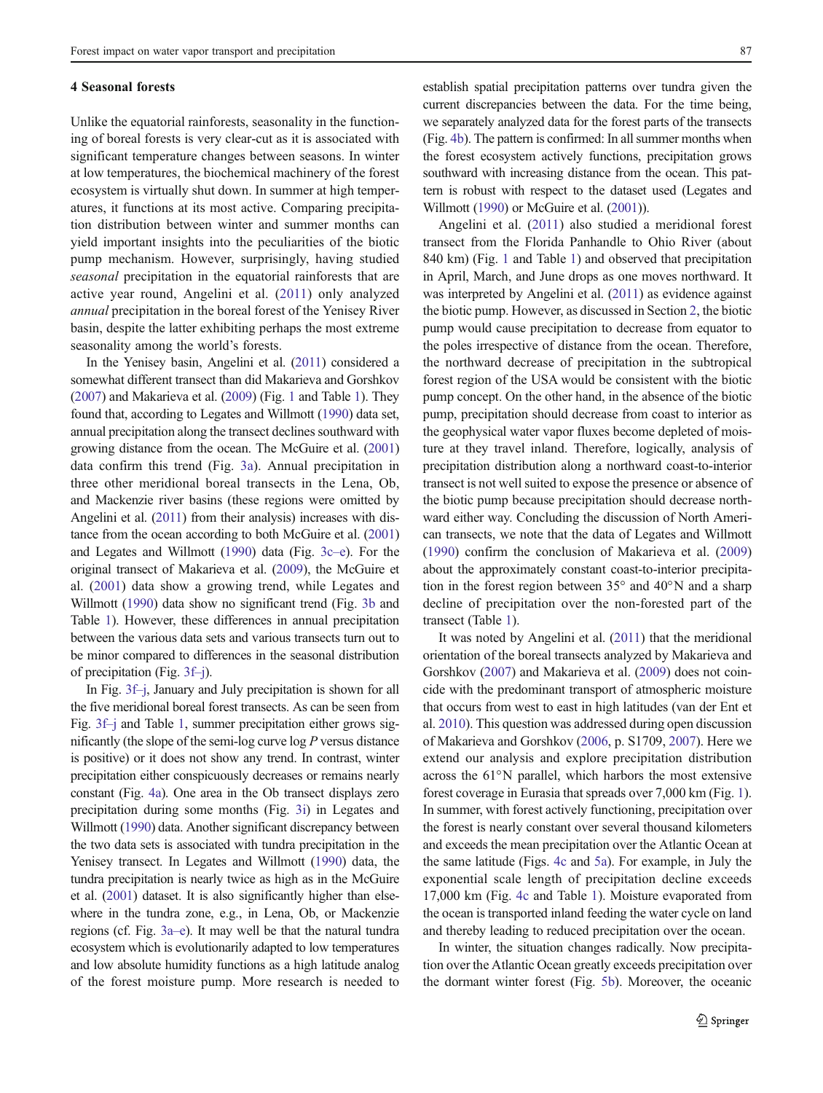#### <span id="page-8-0"></span>4 Seasonal forests

Unlike the equatorial rainforests, seasonality in the functioning of boreal forests is very clear-cut as it is associated with significant temperature changes between seasons. In winter at low temperatures, the biochemical machinery of the forest ecosystem is virtually shut down. In summer at high temperatures, it functions at its most active. Comparing precipitation distribution between winter and summer months can yield important insights into the peculiarities of the biotic pump mechanism. However, surprisingly, having studied seasonal precipitation in the equatorial rainforests that are active year round, Angelini et al. ([2011\)](#page-15-0) only analyzed annual precipitation in the boreal forest of the Yenisey River basin, despite the latter exhibiting perhaps the most extreme seasonality among the world's forests.

In the Yenisey basin, Angelini et al. ([2011\)](#page-15-0) considered a somewhat different transect than did Makarieva and Gorshkov [\(2007](#page-16-0)) and Makarieva et al. [\(2009](#page-16-0)) (Fig. [1](#page-2-0) and Table [1](#page-5-0)). They found that, according to Legates and Willmott [\(1990](#page-16-0)) data set, annual precipitation along the transect declines southward with growing distance from the ocean. The McGuire et al. ([2001\)](#page-16-0) data confirm this trend (Fig. [3a](#page-9-0)). Annual precipitation in three other meridional boreal transects in the Lena, Ob, and Mackenzie river basins (these regions were omitted by Angelini et al. ([2011\)](#page-15-0) from their analysis) increases with distance from the ocean according to both McGuire et al. ([2001\)](#page-16-0) and Legates and Willmott ([1990](#page-16-0)) data (Fig. [3c](#page-9-0)–e). For the original transect of Makarieva et al. [\(2009](#page-16-0)), the McGuire et al. [\(2001\)](#page-16-0) data show a growing trend, while Legates and Willmott ([1990](#page-16-0)) data show no significant trend (Fig. [3b](#page-9-0) and Table [1\)](#page-5-0). However, these differences in annual precipitation between the various data sets and various transects turn out to be minor compared to differences in the seasonal distribution of precipitation (Fig. [3f](#page-9-0)–j).

In Fig. [3f](#page-9-0)–j, January and July precipitation is shown for all the five meridional boreal forest transects. As can be seen from Fig. [3f](#page-9-0)–j and Table [1,](#page-5-0) summer precipitation either grows significantly (the slope of the semi-log curve  $\log P$  versus distance is positive) or it does not show any trend. In contrast, winter precipitation either conspicuously decreases or remains nearly constant (Fig. [4a\)](#page-10-0). One area in the Ob transect displays zero precipitation during some months (Fig. [3i](#page-9-0)) in Legates and Willmott [\(1990](#page-16-0)) data. Another significant discrepancy between the two data sets is associated with tundra precipitation in the Yenisey transect. In Legates and Willmott [\(1990](#page-16-0)) data, the tundra precipitation is nearly twice as high as in the McGuire et al. [\(2001](#page-16-0)) dataset. It is also significantly higher than elsewhere in the tundra zone, e.g., in Lena, Ob, or Mackenzie regions (cf. Fig. [3a](#page-9-0)–e). It may well be that the natural tundra ecosystem which is evolutionarily adapted to low temperatures and low absolute humidity functions as a high latitude analog of the forest moisture pump. More research is needed to

establish spatial precipitation patterns over tundra given the current discrepancies between the data. For the time being, we separately analyzed data for the forest parts of the transects (Fig. [4b\)](#page-10-0). The pattern is confirmed: In all summer months when the forest ecosystem actively functions, precipitation grows southward with increasing distance from the ocean. This pattern is robust with respect to the dataset used (Legates and Willmott ([1990\)](#page-16-0) or McGuire et al. [\(2001\)](#page-16-0)).

Angelini et al. [\(2011\)](#page-15-0) also studied a meridional forest transect from the Florida Panhandle to Ohio River (about 840 km) (Fig. [1](#page-2-0) and Table [1](#page-5-0)) and observed that precipitation in April, March, and June drops as one moves northward. It was interpreted by Angelini et al. [\(2011\)](#page-15-0) as evidence against the biotic pump. However, as discussed in Section [2](#page-1-0), the biotic pump would cause precipitation to decrease from equator to the poles irrespective of distance from the ocean. Therefore, the northward decrease of precipitation in the subtropical forest region of the USA would be consistent with the biotic pump concept. On the other hand, in the absence of the biotic pump, precipitation should decrease from coast to interior as the geophysical water vapor fluxes become depleted of moisture at they travel inland. Therefore, logically, analysis of precipitation distribution along a northward coast-to-interior transect is not well suited to expose the presence or absence of the biotic pump because precipitation should decrease northward either way. Concluding the discussion of North American transects, we note that the data of Legates and Willmott [\(1990](#page-16-0)) confirm the conclusion of Makarieva et al. [\(2009](#page-16-0)) about the approximately constant coast-to-interior precipitation in the forest region between 35° and 40°N and a sharp decline of precipitation over the non-forested part of the transect (Table [1\)](#page-5-0).

It was noted by Angelini et al. ([2011\)](#page-15-0) that the meridional orientation of the boreal transects analyzed by Makarieva and Gorshkov ([2007](#page-16-0)) and Makarieva et al. ([2009](#page-16-0)) does not coincide with the predominant transport of atmospheric moisture that occurs from west to east in high latitudes (van der Ent et al. [2010\)](#page-17-0). This question was addressed during open discussion of Makarieva and Gorshkov ([2006](#page-16-0), p. S1709, [2007\)](#page-16-0). Here we extend our analysis and explore precipitation distribution across the 61°N parallel, which harbors the most extensive forest coverage in Eurasia that spreads over 7,000 km (Fig. [1\)](#page-2-0). In summer, with forest actively functioning, precipitation over the forest is nearly constant over several thousand kilometers and exceeds the mean precipitation over the Atlantic Ocean at the same latitude (Figs. [4c](#page-10-0) and [5a](#page-11-0)). For example, in July the exponential scale length of precipitation decline exceeds 17,000 km (Fig. [4c](#page-10-0) and Table [1\)](#page-5-0). Moisture evaporated from the ocean is transported inland feeding the water cycle on land and thereby leading to reduced precipitation over the ocean.

In winter, the situation changes radically. Now precipitation over the Atlantic Ocean greatly exceeds precipitation over the dormant winter forest (Fig. [5b\)](#page-11-0). Moreover, the oceanic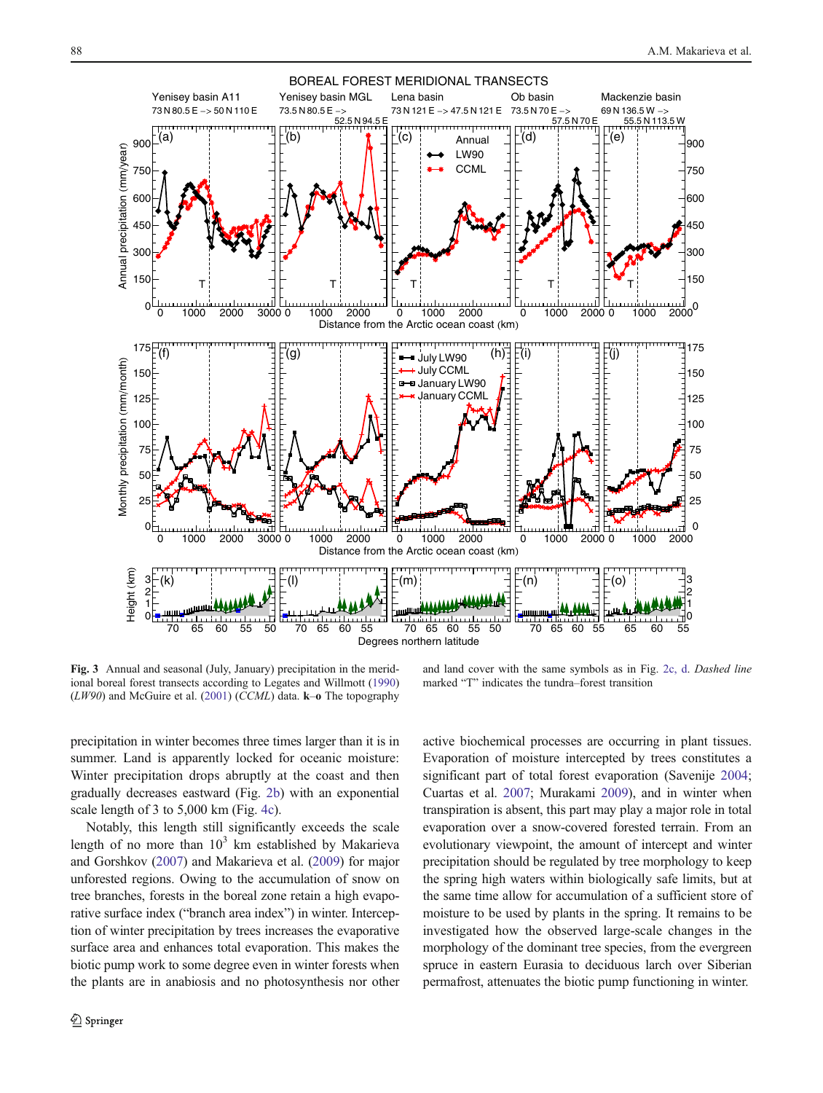<span id="page-9-0"></span>

Fig. 3 Annual and seasonal (July, January) precipitation in the meridional boreal forest transects according to Legates and Willmott [\(1990](#page-16-0)) (LW90) and McGuire et al. [\(2001\)](#page-16-0) (CCML) data. k–o The topography

and land cover with the same symbols as in Fig. [2c, d.](#page-4-0) Dashed line marked "T" indicates the tundra–forest transition

precipitation in winter becomes three times larger than it is in summer. Land is apparently locked for oceanic moisture: Winter precipitation drops abruptly at the coast and then gradually decreases eastward (Fig. [2b\)](#page-4-0) with an exponential scale length of 3 to 5,000 km (Fig. [4c](#page-10-0)).

Notably, this length still significantly exceeds the scale length of no more than  $10<sup>3</sup>$  km established by Makarieva and Gorshkov [\(2007\)](#page-16-0) and Makarieva et al. [\(2009\)](#page-16-0) for major unforested regions. Owing to the accumulation of snow on tree branches, forests in the boreal zone retain a high evaporative surface index ("branch area index") in winter. Interception of winter precipitation by trees increases the evaporative surface area and enhances total evaporation. This makes the biotic pump work to some degree even in winter forests when the plants are in anabiosis and no photosynthesis nor other active biochemical processes are occurring in plant tissues. Evaporation of moisture intercepted by trees constitutes a significant part of total forest evaporation (Savenije [2004;](#page-17-0) Cuartas et al. [2007;](#page-15-0) Murakami [2009\)](#page-16-0), and in winter when transpiration is absent, this part may play a major role in total evaporation over a snow-covered forested terrain. From an evolutionary viewpoint, the amount of intercept and winter precipitation should be regulated by tree morphology to keep the spring high waters within biologically safe limits, but at the same time allow for accumulation of a sufficient store of moisture to be used by plants in the spring. It remains to be investigated how the observed large-scale changes in the morphology of the dominant tree species, from the evergreen spruce in eastern Eurasia to deciduous larch over Siberian permafrost, attenuates the biotic pump functioning in winter.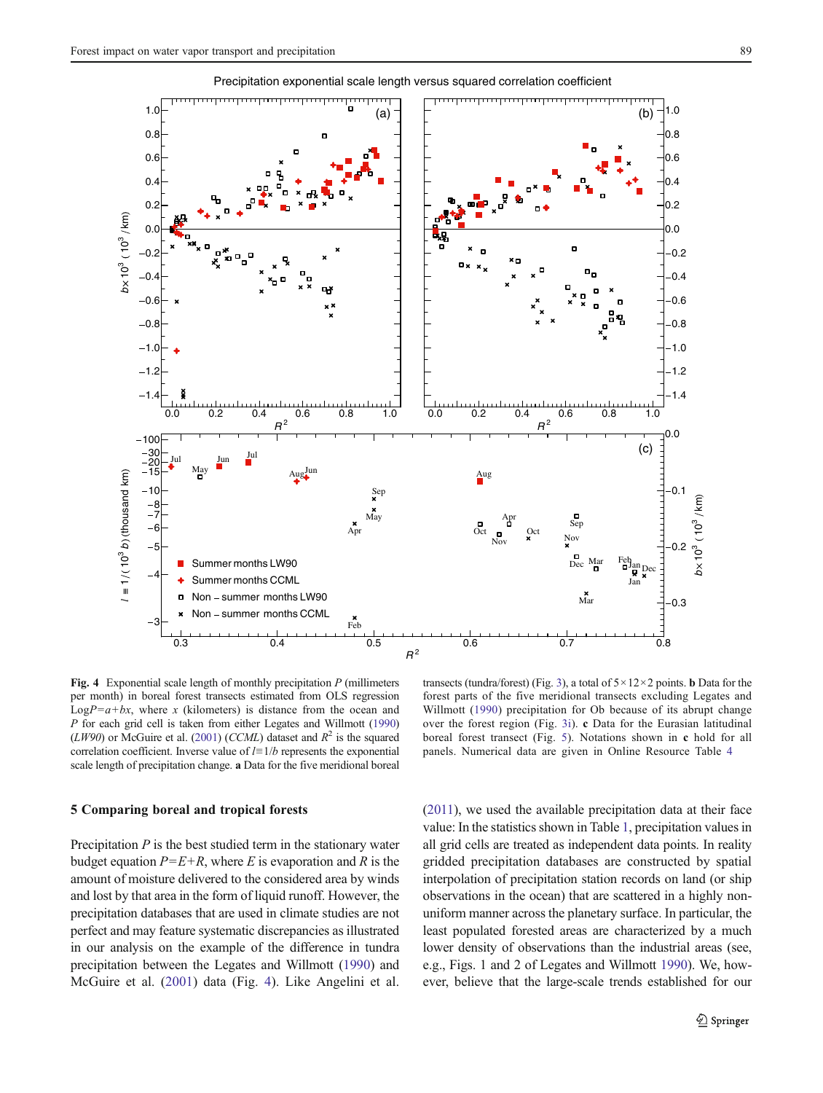<span id="page-10-0"></span>

Precipitation exponential scale length versus squared correlation coefficient

Fig. 4 Exponential scale length of monthly precipitation  $P$  (millimeters per month) in boreal forest transects estimated from OLS regression  $LogP=a+bx$ , where x (kilometers) is distance from the ocean and P for each grid cell is taken from either Legates and Willmott ([1990](#page-16-0)) (*LW90*) or McGuire et al. [\(2001\)](#page-16-0) (*CCML*) dataset and  $R^2$  is the squared correlation coefficient. Inverse value of  $l \equiv 1/b$  represents the exponential scale length of precipitation change. a Data for the five meridional boreal

transects (tundra/forest) (Fig. [3\)](#page-9-0), a total of  $5 \times 12 \times 2$  points. **b** Data for the forest parts of the five meridional transects excluding Legates and Willmott [\(1990\)](#page-16-0) precipitation for Ob because of its abrupt change over the forest region (Fig. [3i\)](#page-9-0). c Data for the Eurasian latitudinal boreal forest transect (Fig. [5\)](#page-11-0). Notations shown in c hold for all panels. Numerical data are given in Online Resource Table 4

#### 5 Comparing boreal and tropical forests

Precipitation  $P$  is the best studied term in the stationary water budget equation  $P=E+R$ , where E is evaporation and R is the amount of moisture delivered to the considered area by winds and lost by that area in the form of liquid runoff. However, the precipitation databases that are used in climate studies are not perfect and may feature systematic discrepancies as illustrated in our analysis on the example of the difference in tundra precipitation between the Legates and Willmott [\(1990\)](#page-16-0) and McGuire et al. ([2001\)](#page-16-0) data (Fig. 4). Like Angelini et al. [\(2011\)](#page-15-0), we used the available precipitation data at their face value: In the statistics shown in Table [1](#page-5-0), precipitation values in all grid cells are treated as independent data points. In reality gridded precipitation databases are constructed by spatial interpolation of precipitation station records on land (or ship observations in the ocean) that are scattered in a highly nonuniform manner across the planetary surface. In particular, the least populated forested areas are characterized by a much lower density of observations than the industrial areas (see, e.g., Figs. 1 and 2 of Legates and Willmott [1990\)](#page-16-0). We, however, believe that the large-scale trends established for our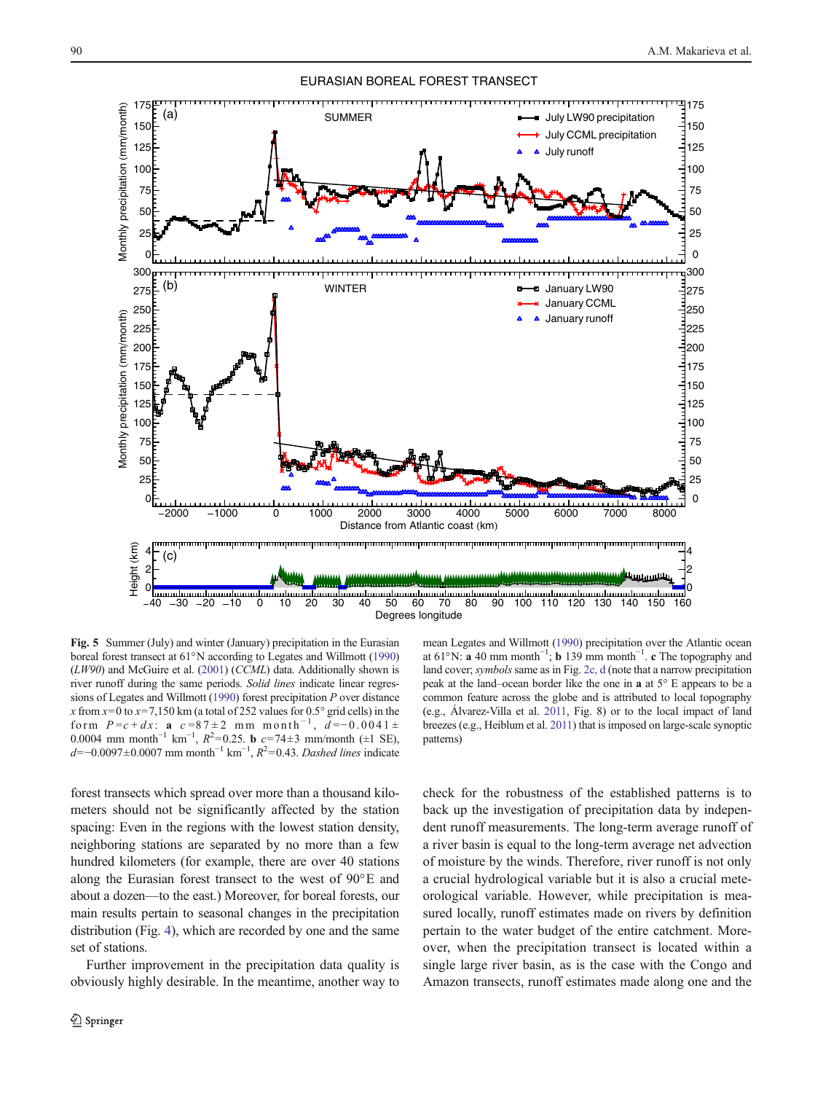<span id="page-11-0"></span>

Fig. 5 Summer (July) and winter (January) precipitation in the Eurasian boreal forest transect at 61°N according to Legates and Willmott ([1990](#page-16-0)) (LW90) and McGuire et al. ([2001](#page-16-0)) (CCML) data. Additionally shown is river runoff during the same periods. Solid lines indicate linear regressions of Legates and Willmott [\(1990](#page-16-0)) forest precipitation P over distance x from  $x=0$  to  $x=7,150$  km (a total of 252 values for 0.5° grid cells) in the form  $P = c + dx$ : a  $c = 87 \pm 2$  mm month<sup>-1</sup>,  $d = -0.0041 \pm$ 0.0004 mm month<sup>-1</sup> km<sup>-1</sup>,  $R^2$ =0.25. **b**  $c=74\pm3$  mm/month ( $\pm1$  SE),  $d=-0.0097\pm0.0007$  mm month<sup>-1</sup> km<sup>-1</sup>,  $R^2$ =0.43. Dashed lines indicate

forest transects which spread over more than a thousand kilometers should not be significantly affected by the station spacing: Even in the regions with the lowest station density, neighboring stations are separated by no more than a few hundred kilometers (for example, there are over 40 stations along the Eurasian forest transect to the west of 90°E and about a dozen—to the east.) Moreover, for boreal forests, our main results pertain to seasonal changes in the precipitation distribution (Fig. [4\)](#page-10-0), which are recorded by one and the same set of stations.

Further improvement in the precipitation data quality is obviously highly desirable. In the meantime, another way to

mean Legates and Willmott [\(1990\)](#page-16-0) precipitation over the Atlantic ocean at 61°N: **a** 40 mm month<sup>-1</sup>; **b** 139 mm month<sup>-1</sup>. **c** The topography and land cover; symbols same as in Fig. [2c, d](#page-4-0) (note that a narrow precipitation peak at the land–ocean border like the one in a at 5° E appears to be a common feature across the globe and is attributed to local topography (e.g., Álvarez-Villa et al. [2011](#page-15-0), Fig. 8) or to the local impact of land breezes (e.g., Heiblum et al. [2011\)](#page-16-0) that is imposed on large-scale synoptic patterns)

check for the robustness of the established patterns is to back up the investigation of precipitation data by independent runoff measurements. The long-term average runoff of a river basin is equal to the long-term average net advection of moisture by the winds. Therefore, river runoff is not only a crucial hydrological variable but it is also a crucial meteorological variable. However, while precipitation is measured locally, runoff estimates made on rivers by definition pertain to the water budget of the entire catchment. Moreover, when the precipitation transect is located within a single large river basin, as is the case with the Congo and Amazon transects, runoff estimates made along one and the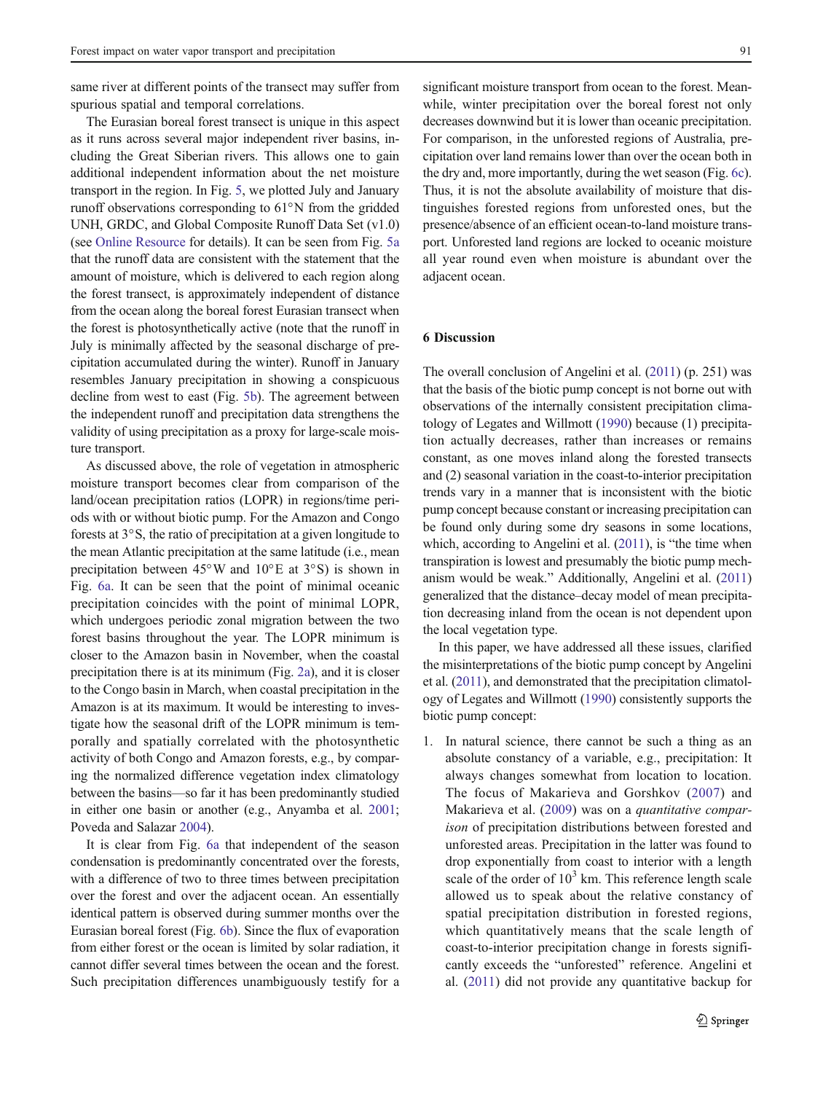same river at different points of the transect may suffer from spurious spatial and temporal correlations.

The Eurasian boreal forest transect is unique in this aspect as it runs across several major independent river basins, including the Great Siberian rivers. This allows one to gain additional independent information about the net moisture transport in the region. In Fig. [5](#page-11-0), we plotted July and January runoff observations corresponding to 61°N from the gridded UNH, GRDC, and Global Composite Runoff Data Set (v1.0) (see Online Resource for details). It can be seen from Fig. [5a](#page-11-0) that the runoff data are consistent with the statement that the amount of moisture, which is delivered to each region along the forest transect, is approximately independent of distance from the ocean along the boreal forest Eurasian transect when the forest is photosynthetically active (note that the runoff in July is minimally affected by the seasonal discharge of precipitation accumulated during the winter). Runoff in January resembles January precipitation in showing a conspicuous decline from west to east (Fig. [5b\)](#page-11-0). The agreement between the independent runoff and precipitation data strengthens the validity of using precipitation as a proxy for large-scale moisture transport.

As discussed above, the role of vegetation in atmospheric moisture transport becomes clear from comparison of the land/ocean precipitation ratios (LOPR) in regions/time periods with or without biotic pump. For the Amazon and Congo forests at 3°S, the ratio of precipitation at a given longitude to the mean Atlantic precipitation at the same latitude (i.e., mean precipitation between 45°W and 10°E at 3°S) is shown in Fig. [6a](#page-13-0). It can be seen that the point of minimal oceanic precipitation coincides with the point of minimal LOPR, which undergoes periodic zonal migration between the two forest basins throughout the year. The LOPR minimum is closer to the Amazon basin in November, when the coastal precipitation there is at its minimum (Fig. [2a\)](#page-4-0), and it is closer to the Congo basin in March, when coastal precipitation in the Amazon is at its maximum. It would be interesting to investigate how the seasonal drift of the LOPR minimum is temporally and spatially correlated with the photosynthetic activity of both Congo and Amazon forests, e.g., by comparing the normalized difference vegetation index climatology between the basins—so far it has been predominantly studied in either one basin or another (e.g., Anyamba et al. [2001](#page-15-0); Poveda and Salazar [2004\)](#page-17-0).

It is clear from Fig. [6a](#page-13-0) that independent of the season condensation is predominantly concentrated over the forests, with a difference of two to three times between precipitation over the forest and over the adjacent ocean. An essentially identical pattern is observed during summer months over the Eurasian boreal forest (Fig. [6b\)](#page-13-0). Since the flux of evaporation from either forest or the ocean is limited by solar radiation, it cannot differ several times between the ocean and the forest. Such precipitation differences unambiguously testify for a significant moisture transport from ocean to the forest. Meanwhile, winter precipitation over the boreal forest not only decreases downwind but it is lower than oceanic precipitation. For comparison, in the unforested regions of Australia, precipitation over land remains lower than over the ocean both in the dry and, more importantly, during the wet season (Fig. [6c\)](#page-13-0). Thus, it is not the absolute availability of moisture that distinguishes forested regions from unforested ones, but the presence/absence of an efficient ocean-to-land moisture transport. Unforested land regions are locked to oceanic moisture all year round even when moisture is abundant over the adjacent ocean.

# 6 Discussion

The overall conclusion of Angelini et al. [\(2011](#page-15-0)) (p. 251) was that the basis of the biotic pump concept is not borne out with observations of the internally consistent precipitation climatology of Legates and Willmott ([1990](#page-16-0)) because (1) precipitation actually decreases, rather than increases or remains constant, as one moves inland along the forested transects and (2) seasonal variation in the coast-to-interior precipitation trends vary in a manner that is inconsistent with the biotic pump concept because constant or increasing precipitation can be found only during some dry seasons in some locations, which, according to Angelini et al. ([2011\)](#page-15-0), is "the time when transpiration is lowest and presumably the biotic pump mechanism would be weak." Additionally, Angelini et al. ([2011](#page-15-0)) generalized that the distance–decay model of mean precipitation decreasing inland from the ocean is not dependent upon the local vegetation type.

In this paper, we have addressed all these issues, clarified the misinterpretations of the biotic pump concept by Angelini et al. [\(2011](#page-15-0)), and demonstrated that the precipitation climatology of Legates and Willmott [\(1990\)](#page-16-0) consistently supports the biotic pump concept:

1. In natural science, there cannot be such a thing as an absolute constancy of a variable, e.g., precipitation: It always changes somewhat from location to location. The focus of Makarieva and Gorshkov ([2007](#page-16-0)) and Makarieva et al. [\(2009](#page-16-0)) was on a quantitative comparison of precipitation distributions between forested and unforested areas. Precipitation in the latter was found to drop exponentially from coast to interior with a length scale of the order of  $10<sup>3</sup>$  km. This reference length scale allowed us to speak about the relative constancy of spatial precipitation distribution in forested regions, which quantitatively means that the scale length of coast-to-interior precipitation change in forests significantly exceeds the "unforested" reference. Angelini et al. ([2011\)](#page-15-0) did not provide any quantitative backup for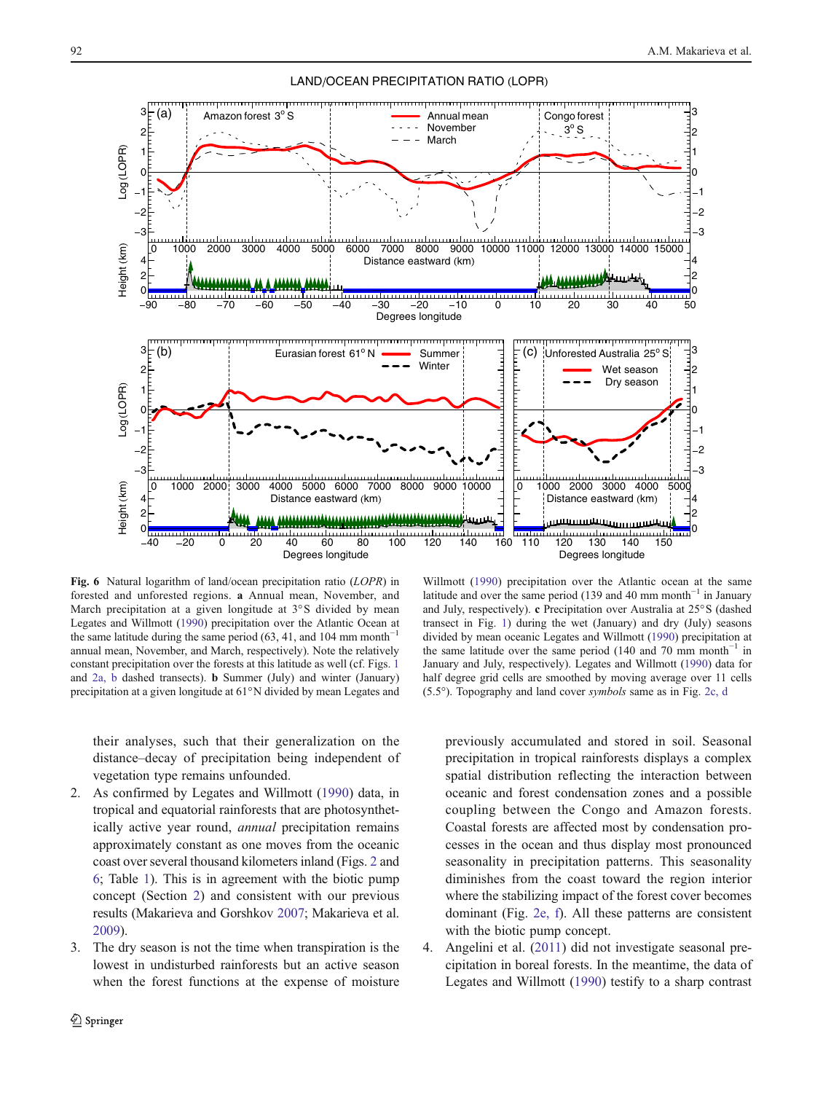<span id="page-13-0"></span>

Fig. 6 Natural logarithm of land/ocean precipitation ratio (LOPR) in forested and unforested regions. a Annual mean, November, and March precipitation at a given longitude at 3°S divided by mean Legates and Willmott ([1990](#page-16-0)) precipitation over the Atlantic Ocean at the same latitude during the same period (63, 41, and 104 mm month<sup>-1</sup> annual mean, November, and March, respectively). Note the relatively constant precipitation over the forests at this latitude as well (cf. Figs. [1](#page-2-0) and [2a, b](#page-4-0) dashed transects). b Summer (July) and winter (January) precipitation at a given longitude at 61°N divided by mean Legates and

their analyses, such that their generalization on the distance–decay of precipitation being independent of vegetation type remains unfounded.

- 2. As confirmed by Legates and Willmott ([1990\)](#page-16-0) data, in tropical and equatorial rainforests that are photosynthetically active year round, annual precipitation remains approximately constant as one moves from the oceanic coast over several thousand kilometers inland (Figs. [2](#page-4-0) and 6; Table [1\)](#page-5-0). This is in agreement with the biotic pump concept (Section [2\)](#page-1-0) and consistent with our previous results (Makarieva and Gorshkov [2007](#page-16-0); Makarieva et al. [2009\)](#page-16-0).
- 3. The dry season is not the time when transpiration is the lowest in undisturbed rainforests but an active season when the forest functions at the expense of moisture

Willmott [\(1990](#page-16-0)) precipitation over the Atlantic ocean at the same latitude and over the same period (139 and 40 mm month<sup>-1</sup> in January and July, respectively). c Precipitation over Australia at 25°S (dashed transect in Fig. [1](#page-2-0)) during the wet (January) and dry (July) seasons divided by mean oceanic Legates and Willmott [\(1990](#page-16-0)) precipitation at the same latitude over the same period (140 and 70 mm month<sup>-1</sup> in January and July, respectively). Legates and Willmott [\(1990](#page-16-0)) data for half degree grid cells are smoothed by moving average over 11 cells (5.5°). Topography and land cover symbols same as in Fig. [2c, d](#page-4-0)

previously accumulated and stored in soil. Seasonal precipitation in tropical rainforests displays a complex spatial distribution reflecting the interaction between oceanic and forest condensation zones and a possible coupling between the Congo and Amazon forests. Coastal forests are affected most by condensation processes in the ocean and thus display most pronounced seasonality in precipitation patterns. This seasonality diminishes from the coast toward the region interior where the stabilizing impact of the forest cover becomes dominant (Fig. [2e, f\)](#page-4-0). All these patterns are consistent with the biotic pump concept.

4. Angelini et al. [\(2011\)](#page-15-0) did not investigate seasonal precipitation in boreal forests. In the meantime, the data of Legates and Willmott ([1990\)](#page-16-0) testify to a sharp contrast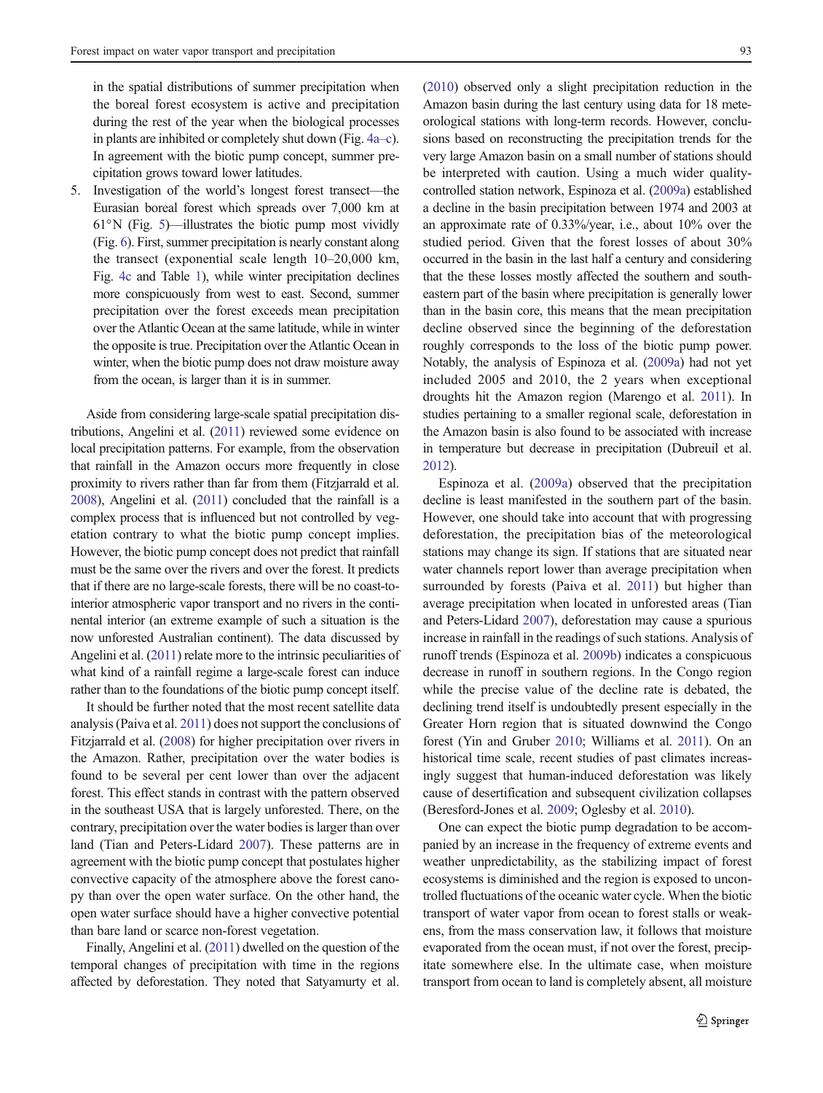in the spatial distributions of summer precipitation when the boreal forest ecosystem is active and precipitation during the rest of the year when the biological processes in plants are inhibited or completely shut down (Fig. [4a](#page-10-0)–c). In agreement with the biotic pump concept, summer precipitation grows toward lower latitudes.

5. Investigation of the world's longest forest transect—the Eurasian boreal forest which spreads over 7,000 km at 61°N (Fig. [5\)](#page-11-0)—illustrates the biotic pump most vividly (Fig. [6\)](#page-13-0). First, summer precipitation is nearly constant along the transect (exponential scale length 10–20,000 km, Fig. [4c](#page-10-0) and Table [1\)](#page-5-0), while winter precipitation declines more conspicuously from west to east. Second, summer precipitation over the forest exceeds mean precipitation over the Atlantic Ocean at the same latitude, while in winter the opposite is true. Precipitation over the Atlantic Ocean in winter, when the biotic pump does not draw moisture away from the ocean, is larger than it is in summer.

Aside from considering large-scale spatial precipitation distributions, Angelini et al. [\(2011\)](#page-15-0) reviewed some evidence on local precipitation patterns. For example, from the observation that rainfall in the Amazon occurs more frequently in close proximity to rivers rather than far from them (Fitzjarrald et al. [2008](#page-16-0)), Angelini et al. ([2011\)](#page-15-0) concluded that the rainfall is a complex process that is influenced but not controlled by vegetation contrary to what the biotic pump concept implies. However, the biotic pump concept does not predict that rainfall must be the same over the rivers and over the forest. It predicts that if there are no large-scale forests, there will be no coast-tointerior atmospheric vapor transport and no rivers in the continental interior (an extreme example of such a situation is the now unforested Australian continent). The data discussed by Angelini et al. [\(2011](#page-15-0)) relate more to the intrinsic peculiarities of what kind of a rainfall regime a large-scale forest can induce rather than to the foundations of the biotic pump concept itself.

It should be further noted that the most recent satellite data analysis (Paiva et al. [2011\)](#page-17-0) does not support the conclusions of Fitzjarrald et al. ([2008](#page-16-0)) for higher precipitation over rivers in the Amazon. Rather, precipitation over the water bodies is found to be several per cent lower than over the adjacent forest. This effect stands in contrast with the pattern observed in the southeast USA that is largely unforested. There, on the contrary, precipitation over the water bodies is larger than over land (Tian and Peters-Lidard [2007\)](#page-17-0). These patterns are in agreement with the biotic pump concept that postulates higher convective capacity of the atmosphere above the forest canopy than over the open water surface. On the other hand, the open water surface should have a higher convective potential than bare land or scarce non-forest vegetation.

Finally, Angelini et al. [\(2011](#page-15-0)) dwelled on the question of the temporal changes of precipitation with time in the regions affected by deforestation. They noted that Satyamurty et al. [\(2010](#page-17-0)) observed only a slight precipitation reduction in the Amazon basin during the last century using data for 18 meteorological stations with long-term records. However, conclusions based on reconstructing the precipitation trends for the very large Amazon basin on a small number of stations should be interpreted with caution. Using a much wider qualitycontrolled station network, Espinoza et al. [\(2009a](#page-16-0)) established a decline in the basin precipitation between 1974 and 2003 at an approximate rate of 0.33%/year, i.e., about 10% over the studied period. Given that the forest losses of about 30% occurred in the basin in the last half a century and considering that the these losses mostly affected the southern and southeastern part of the basin where precipitation is generally lower than in the basin core, this means that the mean precipitation decline observed since the beginning of the deforestation roughly corresponds to the loss of the biotic pump power. Notably, the analysis of Espinoza et al. ([2009a](#page-16-0)) had not yet included 2005 and 2010, the 2 years when exceptional droughts hit the Amazon region (Marengo et al. [2011](#page-16-0)). In studies pertaining to a smaller regional scale, deforestation in the Amazon basin is also found to be associated with increase in temperature but decrease in precipitation (Dubreuil et al. [2012](#page-16-0)).

Espinoza et al. ([2009a](#page-16-0)) observed that the precipitation decline is least manifested in the southern part of the basin. However, one should take into account that with progressing deforestation, the precipitation bias of the meteorological stations may change its sign. If stations that are situated near water channels report lower than average precipitation when surrounded by forests (Paiva et al. [2011](#page-17-0)) but higher than average precipitation when located in unforested areas (Tian and Peters-Lidard [2007](#page-17-0)), deforestation may cause a spurious increase in rainfall in the readings of such stations. Analysis of runoff trends (Espinoza et al. [2009b](#page-16-0)) indicates a conspicuous decrease in runoff in southern regions. In the Congo region while the precise value of the decline rate is debated, the declining trend itself is undoubtedly present especially in the Greater Horn region that is situated downwind the Congo forest (Yin and Gruber [2010](#page-17-0); Williams et al. [2011\)](#page-17-0). On an historical time scale, recent studies of past climates increasingly suggest that human-induced deforestation was likely cause of desertification and subsequent civilization collapses (Beresford-Jones et al. [2009;](#page-15-0) Oglesby et al. [2010](#page-17-0)).

One can expect the biotic pump degradation to be accompanied by an increase in the frequency of extreme events and weather unpredictability, as the stabilizing impact of forest ecosystems is diminished and the region is exposed to uncontrolled fluctuations of the oceanic water cycle. When the biotic transport of water vapor from ocean to forest stalls or weakens, from the mass conservation law, it follows that moisture evaporated from the ocean must, if not over the forest, precipitate somewhere else. In the ultimate case, when moisture transport from ocean to land is completely absent, all moisture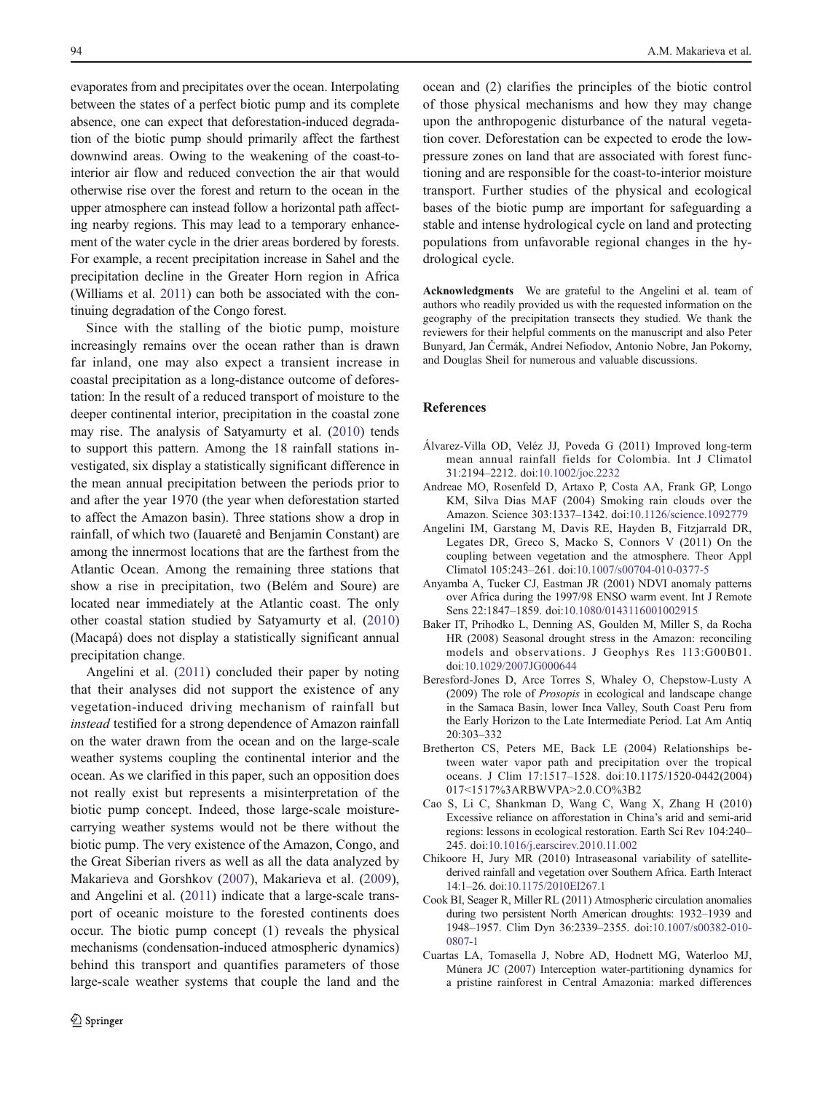<span id="page-15-0"></span>evaporates from and precipitates over the ocean. Interpolating between the states of a perfect biotic pump and its complete absence, one can expect that deforestation-induced degradation of the biotic pump should primarily affect the farthest downwind areas. Owing to the weakening of the coast-tointerior air flow and reduced convection the air that would otherwise rise over the forest and return to the ocean in the upper atmosphere can instead follow a horizontal path affecting nearby regions. This may lead to a temporary enhancement of the water cycle in the drier areas bordered by forests. For example, a recent precipitation increase in Sahel and the precipitation decline in the Greater Horn region in Africa (Williams et al. [2011](#page-17-0)) can both be associated with the continuing degradation of the Congo forest.

Since with the stalling of the biotic pump, moisture increasingly remains over the ocean rather than is drawn far inland, one may also expect a transient increase in coastal precipitation as a long-distance outcome of deforestation: In the result of a reduced transport of moisture to the deeper continental interior, precipitation in the coastal zone may rise. The analysis of Satyamurty et al. ([2010\)](#page-17-0) tends to support this pattern. Among the 18 rainfall stations investigated, six display a statistically significant difference in the mean annual precipitation between the periods prior to and after the year 1970 (the year when deforestation started to affect the Amazon basin). Three stations show a drop in rainfall, of which two (Iauaretê and Benjamin Constant) are among the innermost locations that are the farthest from the Atlantic Ocean. Among the remaining three stations that show a rise in precipitation, two (Belém and Soure) are located near immediately at the Atlantic coast. The only other coastal station studied by Satyamurty et al. ([2010\)](#page-17-0) (Macapá) does not display a statistically significant annual precipitation change.

Angelini et al. (2011) concluded their paper by noting that their analyses did not support the existence of any vegetation-induced driving mechanism of rainfall but instead testified for a strong dependence of Amazon rainfall on the water drawn from the ocean and on the large-scale weather systems coupling the continental interior and the ocean. As we clarified in this paper, such an opposition does not really exist but represents a misinterpretation of the biotic pump concept. Indeed, those large-scale moisturecarrying weather systems would not be there without the biotic pump. The very existence of the Amazon, Congo, and the Great Siberian rivers as well as all the data analyzed by Makarieva and Gorshkov ([2007\)](#page-16-0), Makarieva et al. [\(2009](#page-16-0)), and Angelini et al. (2011) indicate that a large-scale transport of oceanic moisture to the forested continents does occur. The biotic pump concept (1) reveals the physical mechanisms (condensation-induced atmospheric dynamics) behind this transport and quantifies parameters of those large-scale weather systems that couple the land and the

ocean and (2) clarifies the principles of the biotic control of those physical mechanisms and how they may change upon the anthropogenic disturbance of the natural vegetation cover. Deforestation can be expected to erode the lowpressure zones on land that are associated with forest functioning and are responsible for the coast-to-interior moisture transport. Further studies of the physical and ecological bases of the biotic pump are important for safeguarding a stable and intense hydrological cycle on land and protecting populations from unfavorable regional changes in the hydrological cycle.

Acknowledgments We are grateful to the Angelini et al. team of authors who readily provided us with the requested information on the geography of the precipitation transects they studied. We thank the reviewers for their helpful comments on the manuscript and also Peter Bunyard, Jan Čermák, Andrei Nefiodov, Antonio Nobre, Jan Pokorny, and Douglas Sheil for numerous and valuable discussions.

## References

- Álvarez-Villa OD, Veléz JJ, Poveda G (2011) Improved long-term mean annual rainfall fields for Colombia. Int J Climatol 31:2194–2212. doi:[10.1002/joc.2232](http://dx.doi.org/10.1002/joc.2232)
- Andreae MO, Rosenfeld D, Artaxo P, Costa AA, Frank GP, Longo KM, Silva Dias MAF (2004) Smoking rain clouds over the Amazon. Science 303:1337–1342. doi:[10.1126/science.1092779](http://dx.doi.org/10.1126/science.1092779)
- Angelini IM, Garstang M, Davis RE, Hayden B, Fitzjarrald DR, Legates DR, Greco S, Macko S, Connors V (2011) On the coupling between vegetation and the atmosphere. Theor Appl Climatol 105:243–261. doi[:10.1007/s00704-010-0377-5](http://dx.doi.org/10.1007/s00704-010-0377-5)
- Anyamba A, Tucker CJ, Eastman JR (2001) NDVI anomaly patterns over Africa during the 1997/98 ENSO warm event. Int J Remote Sens 22:1847–1859. doi[:10.1080/0143116001002915](http://dx.doi.org/10.1080/0143116001002915)
- Baker IT, Prihodko L, Denning AS, Goulden M, Miller S, da Rocha HR (2008) Seasonal drought stress in the Amazon: reconciling models and observations. J Geophys Res 113:G00B01. doi[:10.1029/2007JG000644](http://dx.doi.org/10.1029/2007JG000644)
- Beresford-Jones D, Arce Torres S, Whaley O, Chepstow-Lusty A (2009) The role of Prosopis in ecological and landscape change in the Samaca Basin, lower Inca Valley, South Coast Peru from the Early Horizon to the Late Intermediate Period. Lat Am Antiq 20:303–332
- Bretherton CS, Peters ME, Back LE (2004) Relationships between water vapor path and precipitation over the tropical oceans. J Clim 17:1517–1528. doi:10.1175/1520-0442(2004) 017<1517%3ARBWVPA>2.0.CO%3B2
- Cao S, Li C, Shankman D, Wang C, Wang X, Zhang H (2010) Excessive reliance on afforestation in China's arid and semi-arid regions: lessons in ecological restoration. Earth Sci Rev 104:240– 245. doi[:10.1016/j.earscirev.2010.11.002](http://dx.doi.org/10.1016/j.earscirev.2010.11.002)
- Chikoore H, Jury MR (2010) Intraseasonal variability of satellitederived rainfall and vegetation over Southern Africa. Earth Interact 14:1–26. doi[:10.1175/2010EI267.1](http://dx.doi.org/10.1175/2010EI267.1)
- Cook BI, Seager R, Miller RL (2011) Atmospheric circulation anomalies during two persistent North American droughts: 1932–1939 and 1948–1957. Clim Dyn 36:2339–2355. doi[:10.1007/s00382-010-](http://dx.doi.org/10.1007/s00382-010-0807-1) [0807-1](http://dx.doi.org/10.1007/s00382-010-0807-1)
- Cuartas LA, Tomasella J, Nobre AD, Hodnett MG, Waterloo MJ, Múnera JC (2007) Interception water-partitioning dynamics for a pristine rainforest in Central Amazonia: marked differences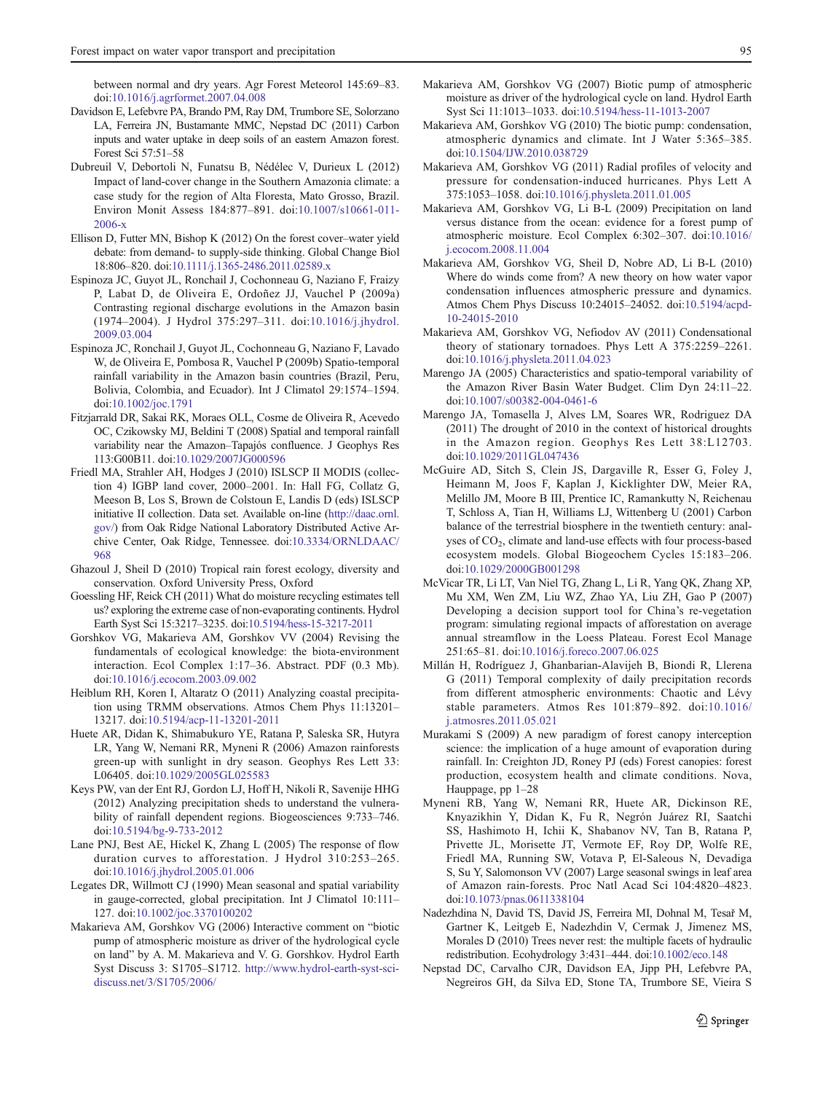<span id="page-16-0"></span>between normal and dry years. Agr Forest Meteorol 145:69–83. doi[:10.1016/j.agrformet.2007.04.008](http://dx.doi.org/10.1016/j.agrformet.2007.04.008)

- Davidson E, Lefebvre PA, Brando PM, Ray DM, Trumbore SE, Solorzano LA, Ferreira JN, Bustamante MMC, Nepstad DC (2011) Carbon inputs and water uptake in deep soils of an eastern Amazon forest. Forest Sci 57:51–58
- Dubreuil V, Debortoli N, Funatsu B, Nédélec V, Durieux L (2012) Impact of land-cover change in the Southern Amazonia climate: a case study for the region of Alta Floresta, Mato Grosso, Brazil. Environ Monit Assess 184:877–891. doi:[10.1007/s10661-011-](http://dx.doi.org/10.1007/s10661-011-2006-x) [2006-x](http://dx.doi.org/10.1007/s10661-011-2006-x)
- Ellison D, Futter MN, Bishop K (2012) On the forest cover–water yield debate: from demand- to supply-side thinking. Global Change Biol 18:806–820. doi[:10.1111/j.1365-2486.2011.02589.x](http://dx.doi.org/10.1111/j.1365-2486.2011.02589.x)
- Espinoza JC, Guyot JL, Ronchail J, Cochonneau G, Naziano F, Fraizy P, Labat D, de Oliveira E, Ordoñez JJ, Vauchel P (2009a) Contrasting regional discharge evolutions in the Amazon basin (1974–2004). J Hydrol 375:297–311. doi:[10.1016/j.jhydrol.](http://dx.doi.org/10.1016/j.jhydrol.2009.03.004) [2009.03.004](http://dx.doi.org/10.1016/j.jhydrol.2009.03.004)
- Espinoza JC, Ronchail J, Guyot JL, Cochonneau G, Naziano F, Lavado W, de Oliveira E, Pombosa R, Vauchel P (2009b) Spatio-temporal rainfall variability in the Amazon basin countries (Brazil, Peru, Bolivia, Colombia, and Ecuador). Int J Climatol 29:1574–1594. doi[:10.1002/joc.1791](http://dx.doi.org/10.1002/joc.1791)
- Fitzjarrald DR, Sakai RK, Moraes OLL, Cosme de Oliveira R, Acevedo OC, Czikowsky MJ, Beldini T (2008) Spatial and temporal rainfall variability near the Amazon–Tapajós confluence. J Geophys Res 113:G00B11. doi[:10.1029/2007JG000596](http://dx.doi.org/10.1029/2007JG000596)
- Friedl MA, Strahler AH, Hodges J (2010) ISLSCP II MODIS (collection 4) IGBP land cover, 2000–2001. In: Hall FG, Collatz G, Meeson B, Los S, Brown de Colstoun E, Landis D (eds) ISLSCP initiative II collection. Data set. Available on-line ([http://daac.ornl.](http://daac.ornl.gov/) [gov/\)](http://daac.ornl.gov/) from Oak Ridge National Laboratory Distributed Active Archive Center, Oak Ridge, Tennessee. doi[:10.3334/ORNLDAAC/](http://dx.doi.org/10.3334/ORNLDAAC/968) [968](http://dx.doi.org/10.3334/ORNLDAAC/968)
- Ghazoul J, Sheil D (2010) Tropical rain forest ecology, diversity and conservation. Oxford University Press, Oxford
- Goessling HF, Reick CH (2011) What do moisture recycling estimates tell us? exploring the extreme case of non-evaporating continents. Hydrol Earth Syst Sci 15:3217–3235. doi:[10.5194/hess-15-3217-2011](http://dx.doi.org/10.5194/hess-15-3217-2011)
- Gorshkov VG, Makarieva AM, Gorshkov VV (2004) Revising the fundamentals of ecological knowledge: the biota-environment interaction. Ecol Complex 1:17–36. Abstract. PDF (0.3 Mb). doi[:10.1016/j.ecocom.2003.09.002](http://dx.doi.org/10.1016/j.ecocom.2003.09.002)
- Heiblum RH, Koren I, Altaratz O (2011) Analyzing coastal precipitation using TRMM observations. Atmos Chem Phys 11:13201– 13217. doi:[10.5194/acp-11-13201-2011](http://dx.doi.org/10.5194/acp-11-13201-2011)
- Huete AR, Didan K, Shimabukuro YE, Ratana P, Saleska SR, Hutyra LR, Yang W, Nemani RR, Myneni R (2006) Amazon rainforests green-up with sunlight in dry season. Geophys Res Lett 33: L06405. doi:[10.1029/2005GL025583](http://dx.doi.org/10.1029/2005GL025583)
- Keys PW, van der Ent RJ, Gordon LJ, Hoff H, Nikoli R, Savenije HHG (2012) Analyzing precipitation sheds to understand the vulnerability of rainfall dependent regions. Biogeosciences 9:733–746. doi[:10.5194/bg-9-733-2012](http://dx.doi.org/10.5194/bg-9-733-2012)
- Lane PNJ, Best AE, Hickel K, Zhang L (2005) The response of flow duration curves to afforestation. J Hydrol 310:253–265. doi[:10.1016/j.jhydrol.2005.01.006](http://dx.doi.org/10.1016/j.jhydrol.2005.01.006)
- Legates DR, Willmott CJ (1990) Mean seasonal and spatial variability in gauge-corrected, global precipitation. Int J Climatol 10:111– 127. doi[:10.1002/joc.3370100202](http://dx.doi.org/10.1002/joc.3370100202)
- Makarieva AM, Gorshkov VG (2006) Interactive comment on "biotic pump of atmospheric moisture as driver of the hydrological cycle on land" by A. M. Makarieva and V. G. Gorshkov. Hydrol Earth Syst Discuss 3: S1705–S1712. [http://www.hydrol-earth-syst-sci](http://www.hydrol-earth-syst-sci-discuss.net/3/S1705/2006/)[discuss.net/3/S1705/2006/](http://www.hydrol-earth-syst-sci-discuss.net/3/S1705/2006/)
- Makarieva AM, Gorshkov VG (2007) Biotic pump of atmospheric moisture as driver of the hydrological cycle on land. Hydrol Earth Syst Sci 11:1013–1033. doi:[10.5194/hess-11-1013-2007](http://dx.doi.org/10.5194/hess-11-1013-2007)
- Makarieva AM, Gorshkov VG (2010) The biotic pump: condensation, atmospheric dynamics and climate. Int J Water 5:365–385. doi[:10.1504/IJW.2010.038729](http://dx.doi.org/10.1504/IJW.2010.038729)
- Makarieva AM, Gorshkov VG (2011) Radial profiles of velocity and pressure for condensation-induced hurricanes. Phys Lett A 375:1053–1058. doi:[10.1016/j.physleta.2011.01.005](http://dx.doi.org/10.1016/j.physleta.2011.01.005)
- Makarieva AM, Gorshkov VG, Li B-L (2009) Precipitation on land versus distance from the ocean: evidence for a forest pump of atmospheric moisture. Ecol Complex 6:302–307. doi[:10.1016/](http://dx.doi.org/10.1016/j.ecocom.2008.11.004) [j.ecocom.2008.11.004](http://dx.doi.org/10.1016/j.ecocom.2008.11.004)
- Makarieva AM, Gorshkov VG, Sheil D, Nobre AD, Li B-L (2010) Where do winds come from? A new theory on how water vapor condensation influences atmospheric pressure and dynamics. Atmos Chem Phys Discuss 10:24015–24052. doi:[10.5194/acpd-](http://dx.doi.org/10.5194/acpd-10-24015-2010)[10-24015-2010](http://dx.doi.org/10.5194/acpd-10-24015-2010)
- Makarieva AM, Gorshkov VG, Nefiodov AV (2011) Condensational theory of stationary tornadoes. Phys Lett A 375:2259–2261. doi[:10.1016/j.physleta.2011.04.023](http://dx.doi.org/10.1016/j.physleta.2011.04.023)
- Marengo JA (2005) Characteristics and spatio-temporal variability of the Amazon River Basin Water Budget. Clim Dyn 24:11–22. doi[:10.1007/s00382-004-0461-6](http://dx.doi.org/10.1007/s00382-004-0461-6)
- Marengo JA, Tomasella J, Alves LM, Soares WR, Rodriguez DA (2011) The drought of 2010 in the context of historical droughts in the Amazon region. Geophys Res Lett 38:L12703. doi[:10.1029/2011GL047436](http://dx.doi.org/10.1029/2011GL047436)
- McGuire AD, Sitch S, Clein JS, Dargaville R, Esser G, Foley J, Heimann M, Joos F, Kaplan J, Kicklighter DW, Meier RA, Melillo JM, Moore B III, Prentice IC, Ramankutty N, Reichenau T, Schloss A, Tian H, Williams LJ, Wittenberg U (2001) Carbon balance of the terrestrial biosphere in the twentieth century: analyses of CO<sub>2</sub>, climate and land-use effects with four process-based ecosystem models. Global Biogeochem Cycles 15:183–206. doi[:10.1029/2000GB001298](http://dx.doi.org/10.1029/2000GB001298)
- McVicar TR, Li LT, Van Niel TG, Zhang L, Li R, Yang QK, Zhang XP, Mu XM, Wen ZM, Liu WZ, Zhao YA, Liu ZH, Gao P (2007) Developing a decision support tool for China's re-vegetation program: simulating regional impacts of afforestation on average annual streamflow in the Loess Plateau. Forest Ecol Manage 251:65–81. doi:[10.1016/j.foreco.2007.06.025](http://dx.doi.org/10.1016/j.foreco.2007.06.025)
- Millán H, Rodríguez J, Ghanbarian-Alavijeh B, Biondi R, Llerena G (2011) Temporal complexity of daily precipitation records from different atmospheric environments: Chaotic and Lévy stable parameters. Atmos Res 101:879–892. doi:[10.1016/](http://dx.doi.org/10.1016/j.atmosres.2011.05.021) [j.atmosres.2011.05.021](http://dx.doi.org/10.1016/j.atmosres.2011.05.021)
- Murakami S (2009) A new paradigm of forest canopy interception science: the implication of a huge amount of evaporation during rainfall. In: Creighton JD, Roney PJ (eds) Forest canopies: forest production, ecosystem health and climate conditions. Nova, Hauppage, pp 1–28
- Myneni RB, Yang W, Nemani RR, Huete AR, Dickinson RE, Knyazikhin Y, Didan K, Fu R, Negrón Juárez RI, Saatchi SS, Hashimoto H, Ichii K, Shabanov NV, Tan B, Ratana P, Privette JL, Morisette JT, Vermote EF, Roy DP, Wolfe RE, Friedl MA, Running SW, Votava P, El-Saleous N, Devadiga S, Su Y, Salomonson VV (2007) Large seasonal swings in leaf area of Amazon rain-forests. Proc Natl Acad Sci 104:4820–4823. doi:[10.1073/pnas.0611338104](http://dx.doi.org/10.1073/pnas.0611338104)
- Nadezhdina N, David TS, David JS, Ferreira MI, Dohnal M, Tesař M, Gartner K, Leitgeb E, Nadezhdin V, Cermak J, Jimenez MS, Morales D (2010) Trees never rest: the multiple facets of hydraulic redistribution. Ecohydrology 3:431–444. doi[:10.1002/eco.148](http://dx.doi.org/10.1002/eco.148)
- Nepstad DC, Carvalho CJR, Davidson EA, Jipp PH, Lefebvre PA, Negreiros GH, da Silva ED, Stone TA, Trumbore SE, Vieira S